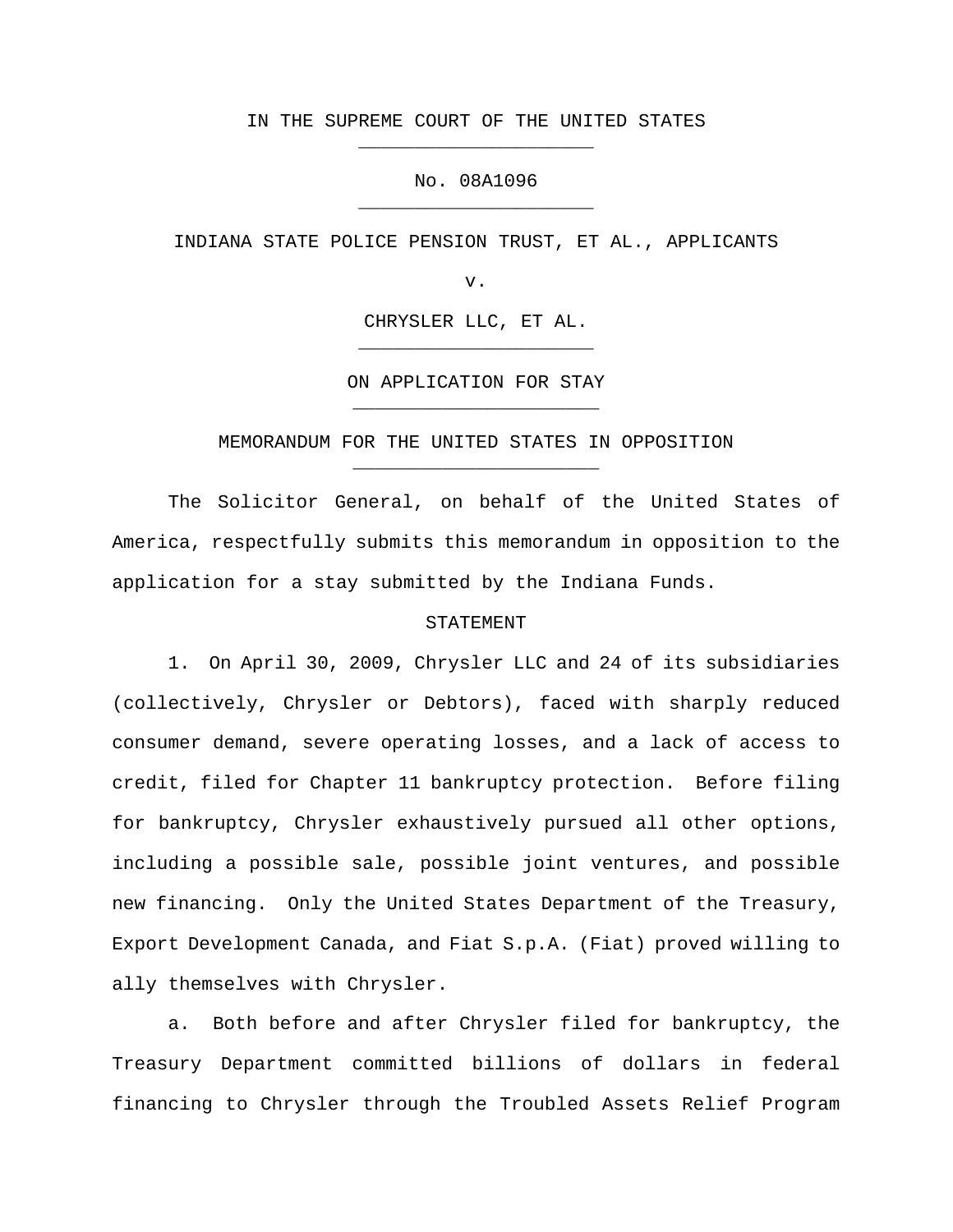## IN THE SUPREME COURT OF THE UNITED STATES \_\_\_\_\_\_\_\_\_\_\_\_\_\_\_\_\_\_\_\_\_

# No. 08A1096 \_\_\_\_\_\_\_\_\_\_\_\_\_\_\_\_\_\_\_\_\_

INDIANA STATE POLICE PENSION TRUST, ET AL., APPLICANTS

v.

CHRYSLER LLC, ET AL. \_\_\_\_\_\_\_\_\_\_\_\_\_\_\_\_\_\_\_\_\_

ON APPLICATION FOR STAY \_\_\_\_\_\_\_\_\_\_\_\_\_\_\_\_\_\_\_\_\_\_

MEMORANDUM FOR THE UNITED STATES IN OPPOSITION \_\_\_\_\_\_\_\_\_\_\_\_\_\_\_\_\_\_\_\_\_\_

The Solicitor General, on behalf of the United States of America, respectfully submits this memorandum in opposition to the application for a stay submitted by the Indiana Funds.

### STATEMENT

1. On April 30, 2009, Chrysler LLC and 24 of its subsidiaries (collectively, Chrysler or Debtors), faced with sharply reduced consumer demand, severe operating losses, and a lack of access to credit, filed for Chapter 11 bankruptcy protection. Before filing for bankruptcy, Chrysler exhaustively pursued all other options, including a possible sale, possible joint ventures, and possible new financing. Only the United States Department of the Treasury, Export Development Canada, and Fiat S.p.A. (Fiat) proved willing to ally themselves with Chrysler.

a. Both before and after Chrysler filed for bankruptcy, the Treasury Department committed billions of dollars in federal financing to Chrysler through the Troubled Assets Relief Program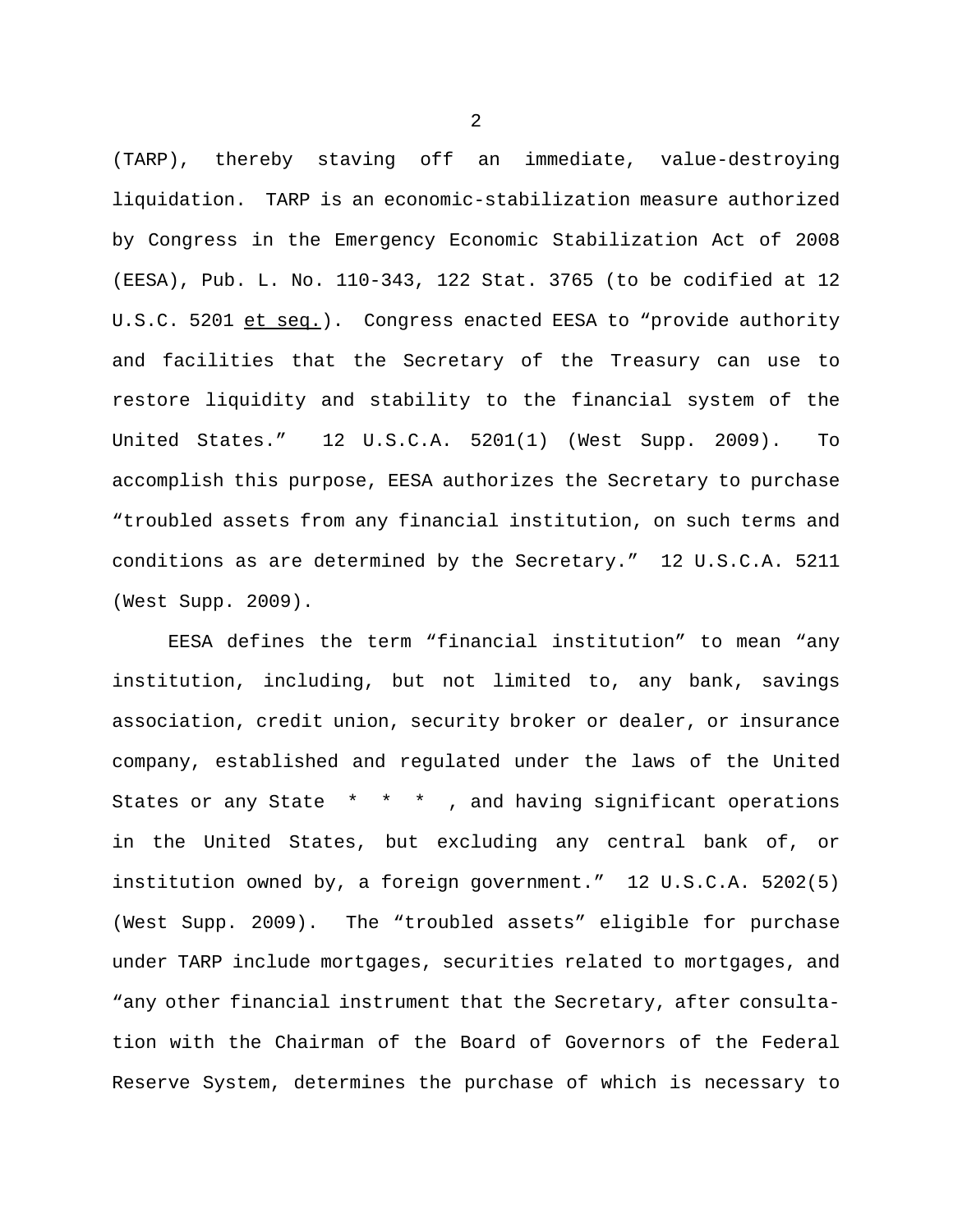(TARP), thereby staving off an immediate, value-destroying liquidation. TARP is an economic-stabilization measure authorized by Congress in the Emergency Economic Stabilization Act of 2008 (EESA), Pub. L. No. 110-343, 122 Stat. 3765 (to be codified at 12 U.S.C. 5201 et seq.). Congress enacted EESA to "provide authority and facilities that the Secretary of the Treasury can use to restore liquidity and stability to the financial system of the United States." 12 U.S.C.A. 5201(1) (West Supp. 2009). To accomplish this purpose, EESA authorizes the Secretary to purchase "troubled assets from any financial institution, on such terms and conditions as are determined by the Secretary." 12 U.S.C.A. 5211 (West Supp. 2009).

EESA defines the term "financial institution" to mean "any institution, including, but not limited to, any bank, savings association, credit union, security broker or dealer, or insurance company, established and regulated under the laws of the United States or any State \* \* \* , and having significant operations in the United States, but excluding any central bank of, or institution owned by, a foreign government." 12 U.S.C.A. 5202(5) (West Supp. 2009). The "troubled assets" eligible for purchase under TARP include mortgages, securities related to mortgages, and "any other financial instrument that the Secretary, after consultation with the Chairman of the Board of Governors of the Federal Reserve System, determines the purchase of which is necessary to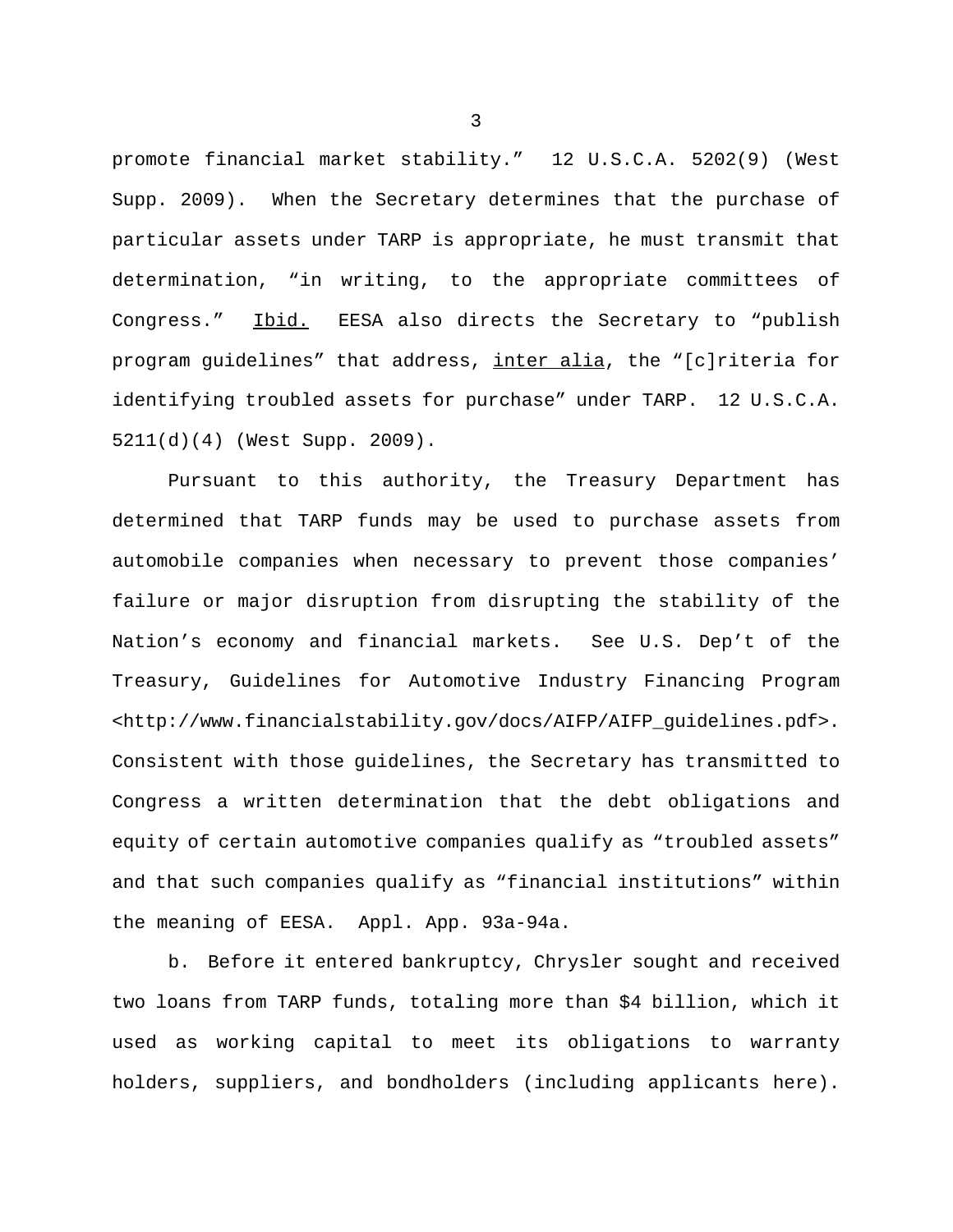promote financial market stability." 12 U.S.C.A. 5202(9) (West Supp. 2009). When the Secretary determines that the purchase of particular assets under TARP is appropriate, he must transmit that determination, "in writing, to the appropriate committees of Congress." Ibid. EESA also directs the Secretary to "publish program guidelines" that address, inter alia, the "[c]riteria for identifying troubled assets for purchase" under TARP. 12 U.S.C.A. 5211(d)(4) (West Supp. 2009).

Pursuant to this authority, the Treasury Department has determined that TARP funds may be used to purchase assets from automobile companies when necessary to prevent those companies' failure or major disruption from disrupting the stability of the Nation's economy and financial markets. See U.S. Dep't of the Treasury, Guidelines for Automotive Industry Financing Program <http://www.financialstability.gov/docs/AIFP/AIFP\_guidelines.pdf>. Consistent with those guidelines, the Secretary has transmitted to Congress a written determination that the debt obligations and equity of certain automotive companies qualify as "troubled assets" and that such companies qualify as "financial institutions" within the meaning of EESA. Appl. App. 93a-94a.

b. Before it entered bankruptcy, Chrysler sought and received two loans from TARP funds, totaling more than \$4 billion, which it used as working capital to meet its obligations to warranty holders, suppliers, and bondholders (including applicants here).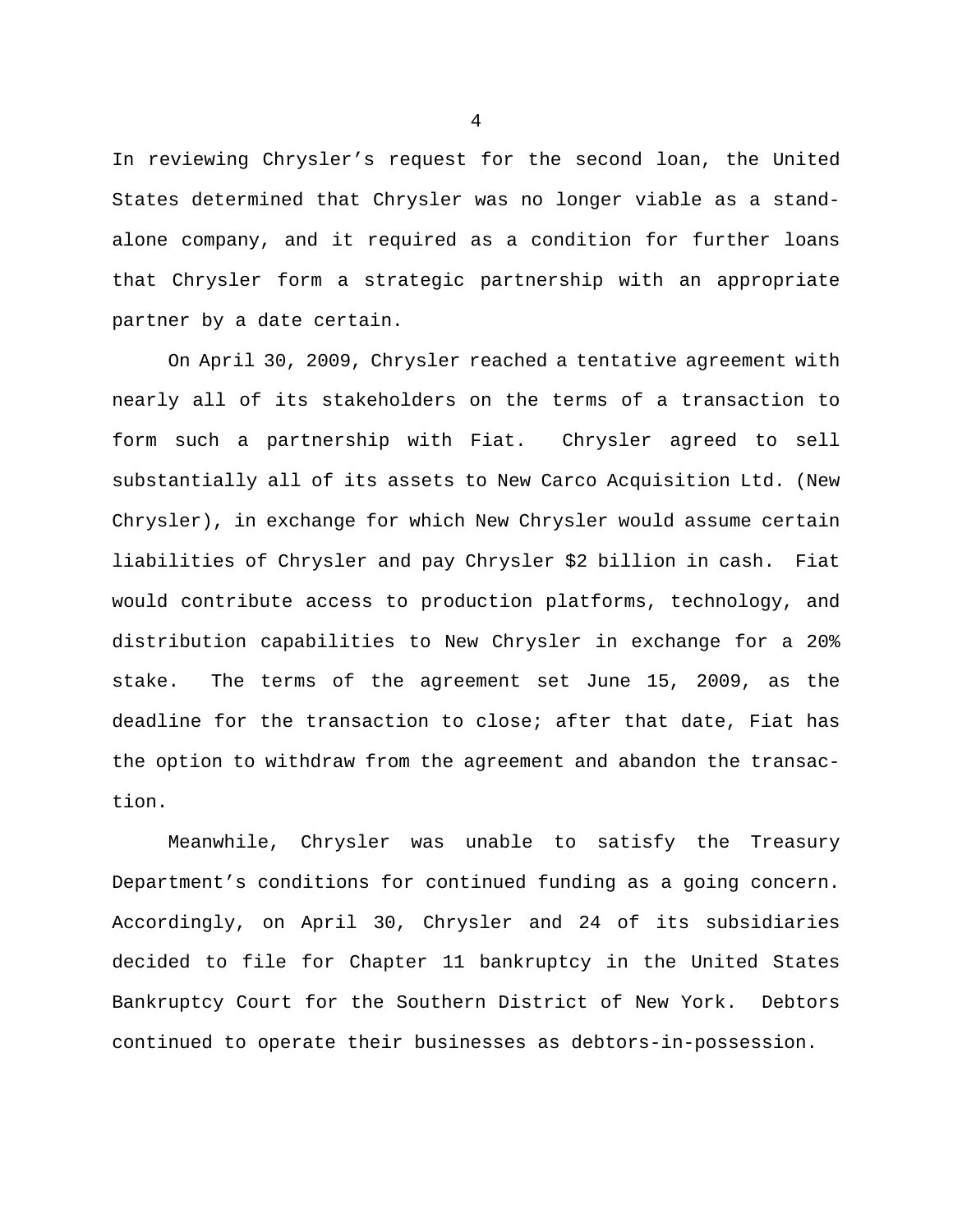In reviewing Chrysler's request for the second loan, the United States determined that Chrysler was no longer viable as a standalone company, and it required as a condition for further loans that Chrysler form a strategic partnership with an appropriate partner by a date certain.

On April 30, 2009, Chrysler reached a tentative agreement with nearly all of its stakeholders on the terms of a transaction to form such a partnership with Fiat. Chrysler agreed to sell substantially all of its assets to New Carco Acquisition Ltd. (New Chrysler), in exchange for which New Chrysler would assume certain liabilities of Chrysler and pay Chrysler \$2 billion in cash. Fiat would contribute access to production platforms, technology, and distribution capabilities to New Chrysler in exchange for a 20% stake. The terms of the agreement set June 15, 2009, as the deadline for the transaction to close; after that date, Fiat has the option to withdraw from the agreement and abandon the transaction.

Meanwhile, Chrysler was unable to satisfy the Treasury Department's conditions for continued funding as a going concern. Accordingly, on April 30, Chrysler and 24 of its subsidiaries decided to file for Chapter 11 bankruptcy in the United States Bankruptcy Court for the Southern District of New York. Debtors continued to operate their businesses as debtors-in-possession.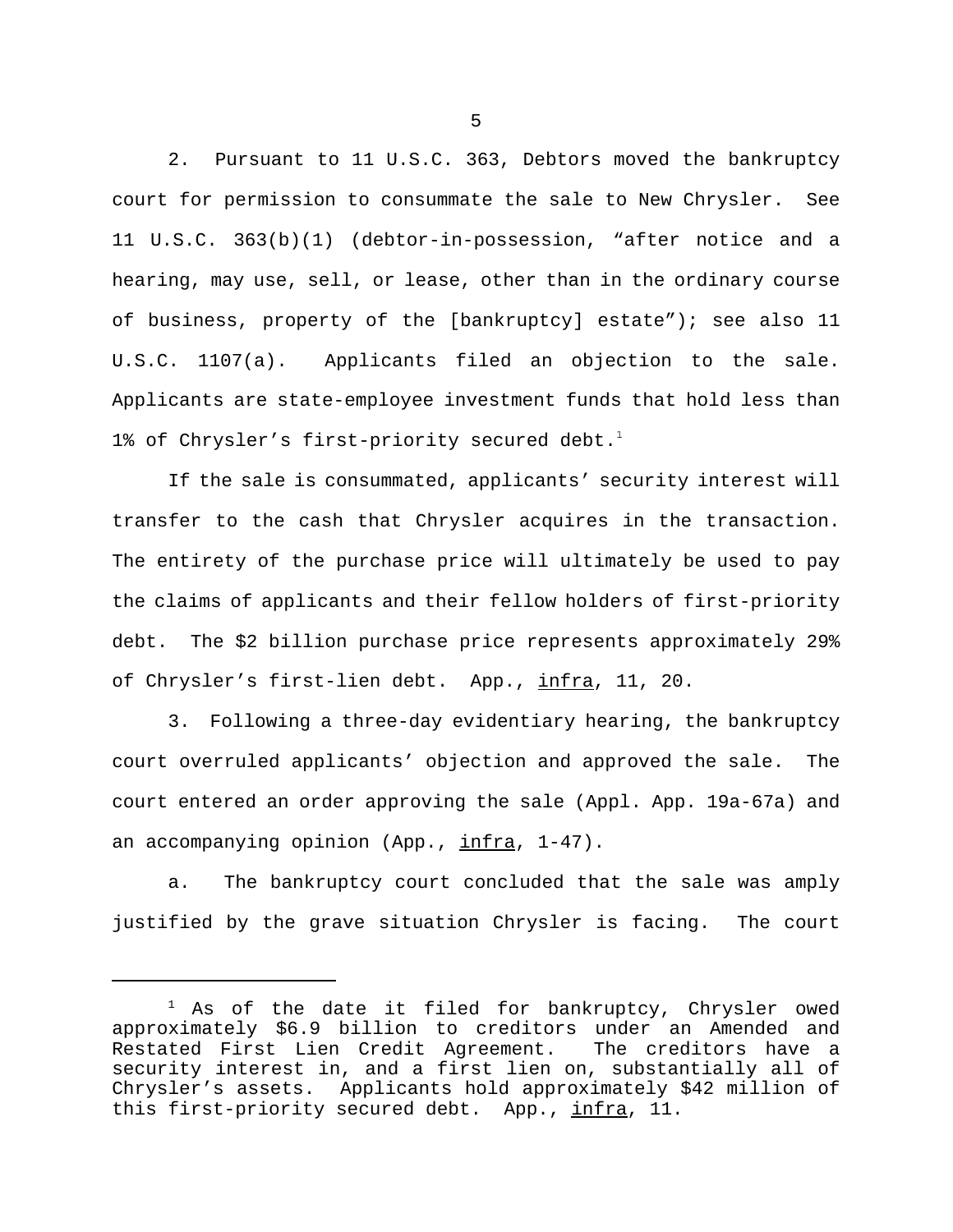2. Pursuant to 11 U.S.C. 363, Debtors moved the bankruptcy court for permission to consummate the sale to New Chrysler. See 11 U.S.C. 363(b)(1) (debtor-in-possession, "after notice and a hearing, may use, sell, or lease, other than in the ordinary course of business, property of the [bankruptcy] estate"); see also 11 U.S.C. 1107(a). Applicants filed an objection to the sale. Applicants are state-employee investment funds that hold less than 1% of Chrysler's first-priority secured debt.<sup>1</sup>

If the sale is consummated, applicants' security interest will transfer to the cash that Chrysler acquires in the transaction. The entirety of the purchase price will ultimately be used to pay the claims of applicants and their fellow holders of first-priority debt. The \$2 billion purchase price represents approximately 29% of Chrysler's first-lien debt. App., infra, 11, 20.

3. Following a three-day evidentiary hearing, the bankruptcy court overruled applicants' objection and approved the sale. The court entered an order approving the sale (Appl. App. 19a-67a) and an accompanying opinion (App., infra, 1-47).

a. The bankruptcy court concluded that the sale was amply justified by the grave situation Chrysler is facing. The court

<sup>&</sup>lt;sup>1</sup> As of the date it filed for bankruptcy, Chrysler owed approximately \$6.9 billion to creditors under an Amended and Restated First Lien Credit Agreement. The creditors have a security interest in, and a first lien on, substantially all of Chrysler's assets. Applicants hold approximately \$42 million of this first-priority secured debt. App., infra, 11.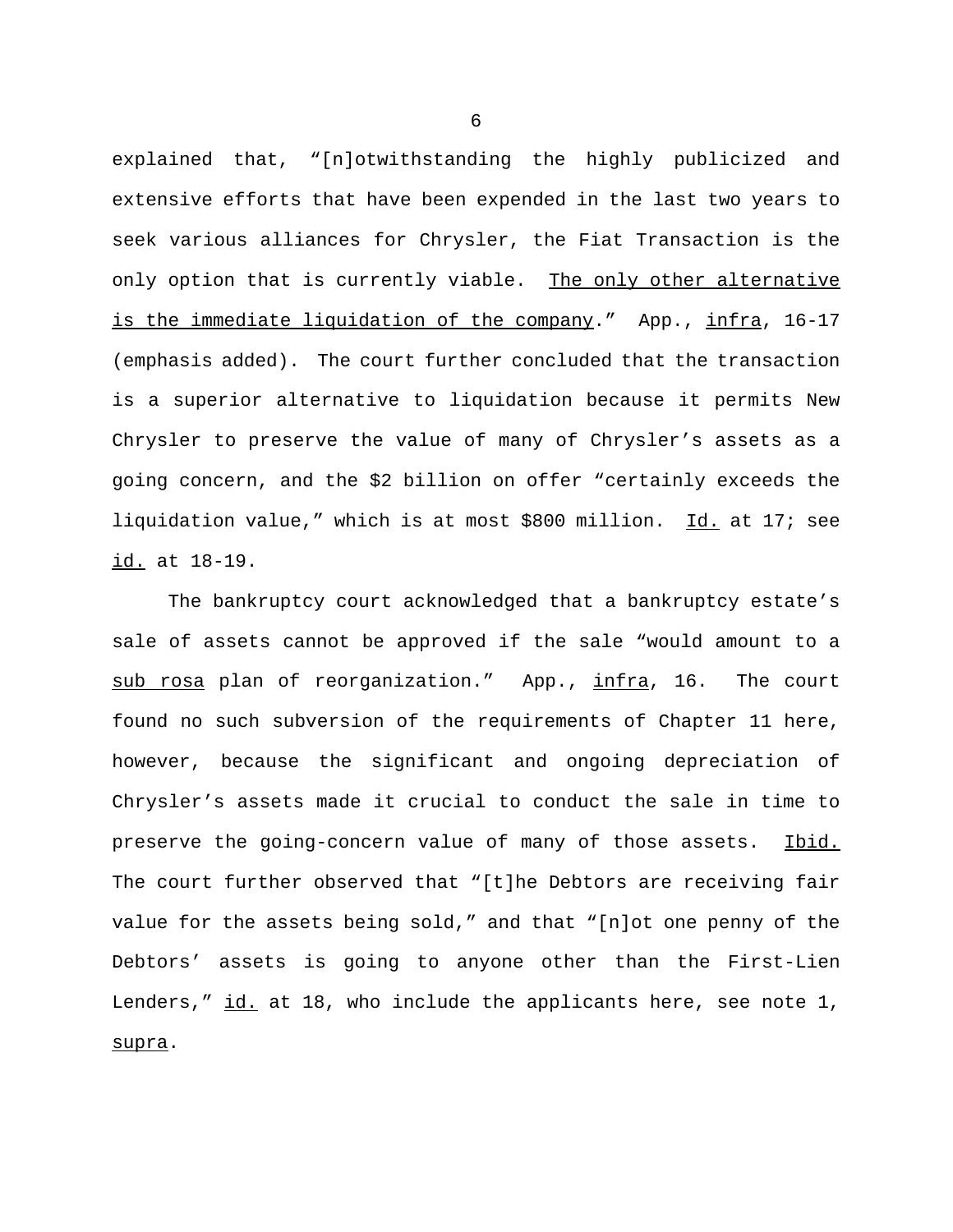explained that, "[n]otwithstanding the highly publicized and extensive efforts that have been expended in the last two years to seek various alliances for Chrysler, the Fiat Transaction is the only option that is currently viable. The only other alternative is the immediate liquidation of the company." App., infra, 16-17 (emphasis added). The court further concluded that the transaction is a superior alternative to liquidation because it permits New Chrysler to preserve the value of many of Chrysler's assets as a going concern, and the \$2 billion on offer "certainly exceeds the liquidation value," which is at most \$800 million. Id. at 17; see id. at 18-19.

The bankruptcy court acknowledged that a bankruptcy estate's sale of assets cannot be approved if the sale "would amount to a sub rosa plan of reorganization." App., infra, 16. The court found no such subversion of the requirements of Chapter 11 here, however, because the significant and ongoing depreciation of Chrysler's assets made it crucial to conduct the sale in time to preserve the going-concern value of many of those assets. Ibid. The court further observed that "[t]he Debtors are receiving fair value for the assets being sold," and that "[n]ot one penny of the Debtors' assets is going to anyone other than the First-Lien Lenders," id. at 18, who include the applicants here, see note 1, supra.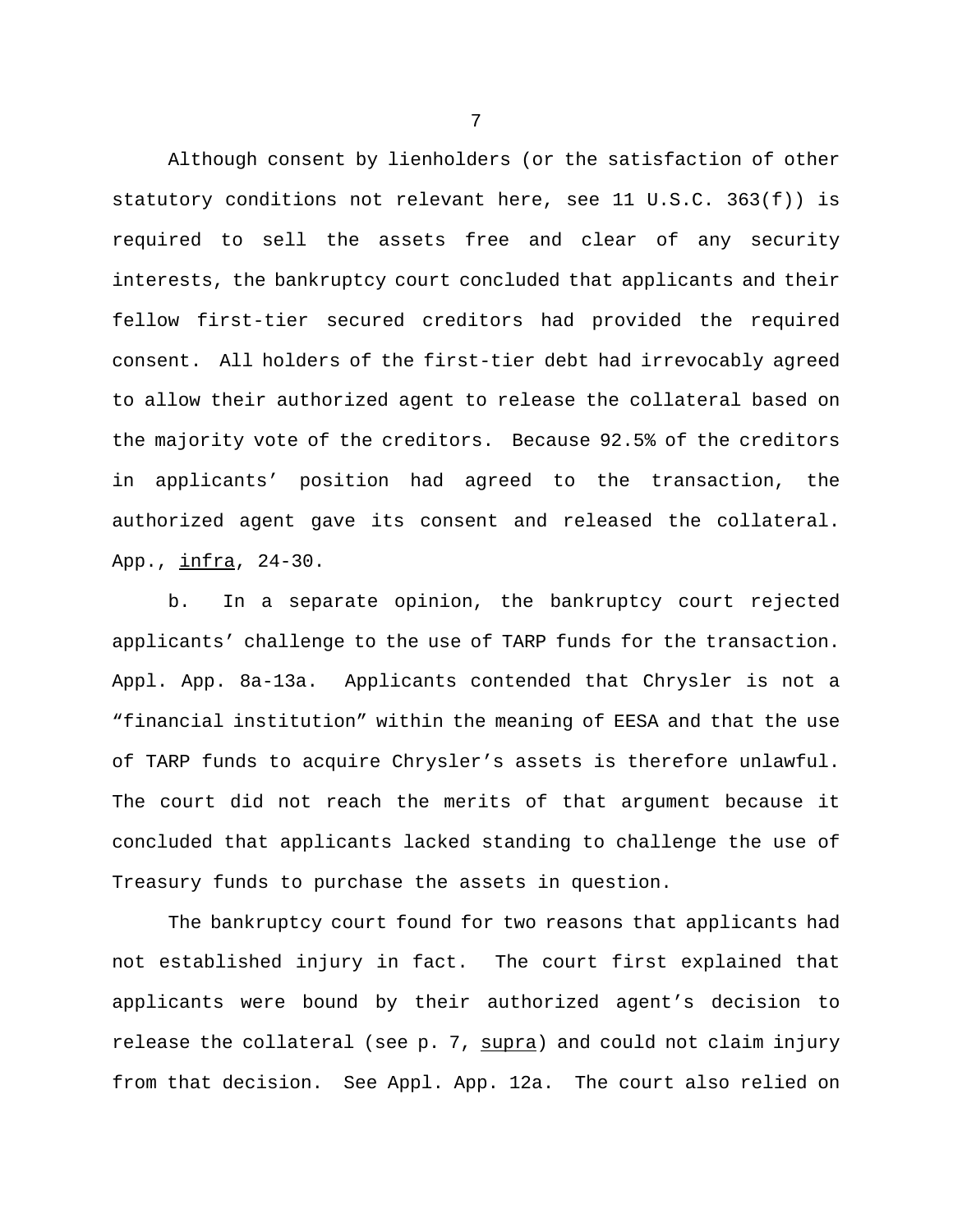Although consent by lienholders (or the satisfaction of other statutory conditions not relevant here, see 11 U.S.C. 363(f)) is required to sell the assets free and clear of any security interests, the bankruptcy court concluded that applicants and their fellow first-tier secured creditors had provided the required consent. All holders of the first-tier debt had irrevocably agreed to allow their authorized agent to release the collateral based on the majority vote of the creditors. Because 92.5% of the creditors in applicants' position had agreed to the transaction, the authorized agent gave its consent and released the collateral. App., infra, 24-30.

b. In a separate opinion, the bankruptcy court rejected applicants' challenge to the use of TARP funds for the transaction. Appl. App. 8a-13a. Applicants contended that Chrysler is not a "financial institution" within the meaning of EESA and that the use of TARP funds to acquire Chrysler's assets is therefore unlawful. The court did not reach the merits of that argument because it concluded that applicants lacked standing to challenge the use of Treasury funds to purchase the assets in question.

The bankruptcy court found for two reasons that applicants had not established injury in fact. The court first explained that applicants were bound by their authorized agent's decision to release the collateral (see p. 7, supra) and could not claim injury from that decision. See Appl. App. 12a. The court also relied on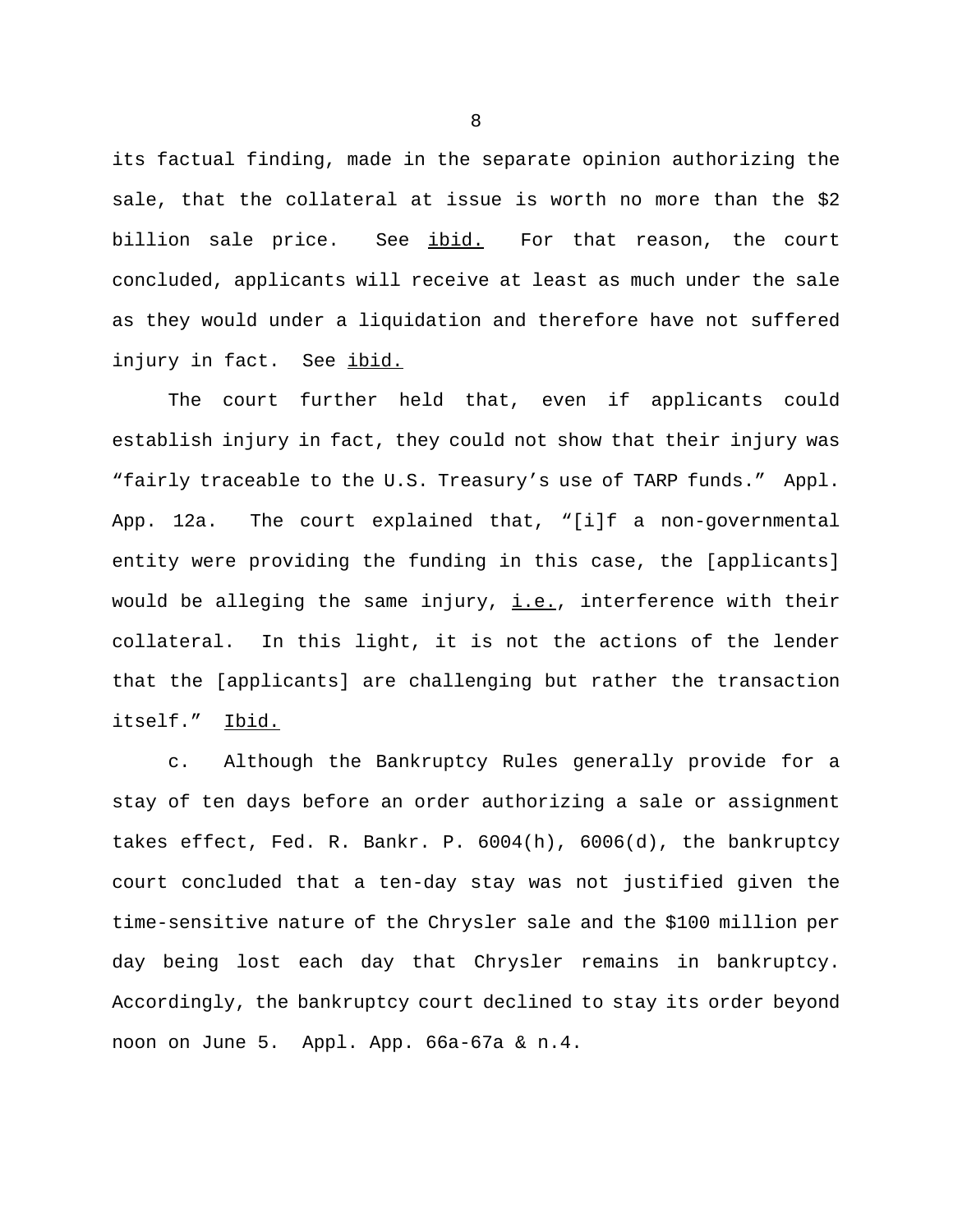its factual finding, made in the separate opinion authorizing the sale, that the collateral at issue is worth no more than the \$2 billion sale price. See ibid. For that reason, the court concluded, applicants will receive at least as much under the sale as they would under a liquidation and therefore have not suffered injury in fact. See ibid.

The court further held that, even if applicants could establish injury in fact, they could not show that their injury was "fairly traceable to the U.S. Treasury's use of TARP funds." Appl. App. 12a. The court explained that, "[i]f a non-governmental entity were providing the funding in this case, the [applicants] would be alleging the same injury, i.e., interference with their collateral. In this light, it is not the actions of the lender that the [applicants] are challenging but rather the transaction itself." Ibid.

c. Although the Bankruptcy Rules generally provide for a stay of ten days before an order authorizing a sale or assignment takes effect, Fed. R. Bankr. P. 6004(h), 6006(d), the bankruptcy court concluded that a ten-day stay was not justified given the time-sensitive nature of the Chrysler sale and the \$100 million per day being lost each day that Chrysler remains in bankruptcy. Accordingly, the bankruptcy court declined to stay its order beyond noon on June 5. Appl. App. 66a-67a & n.4.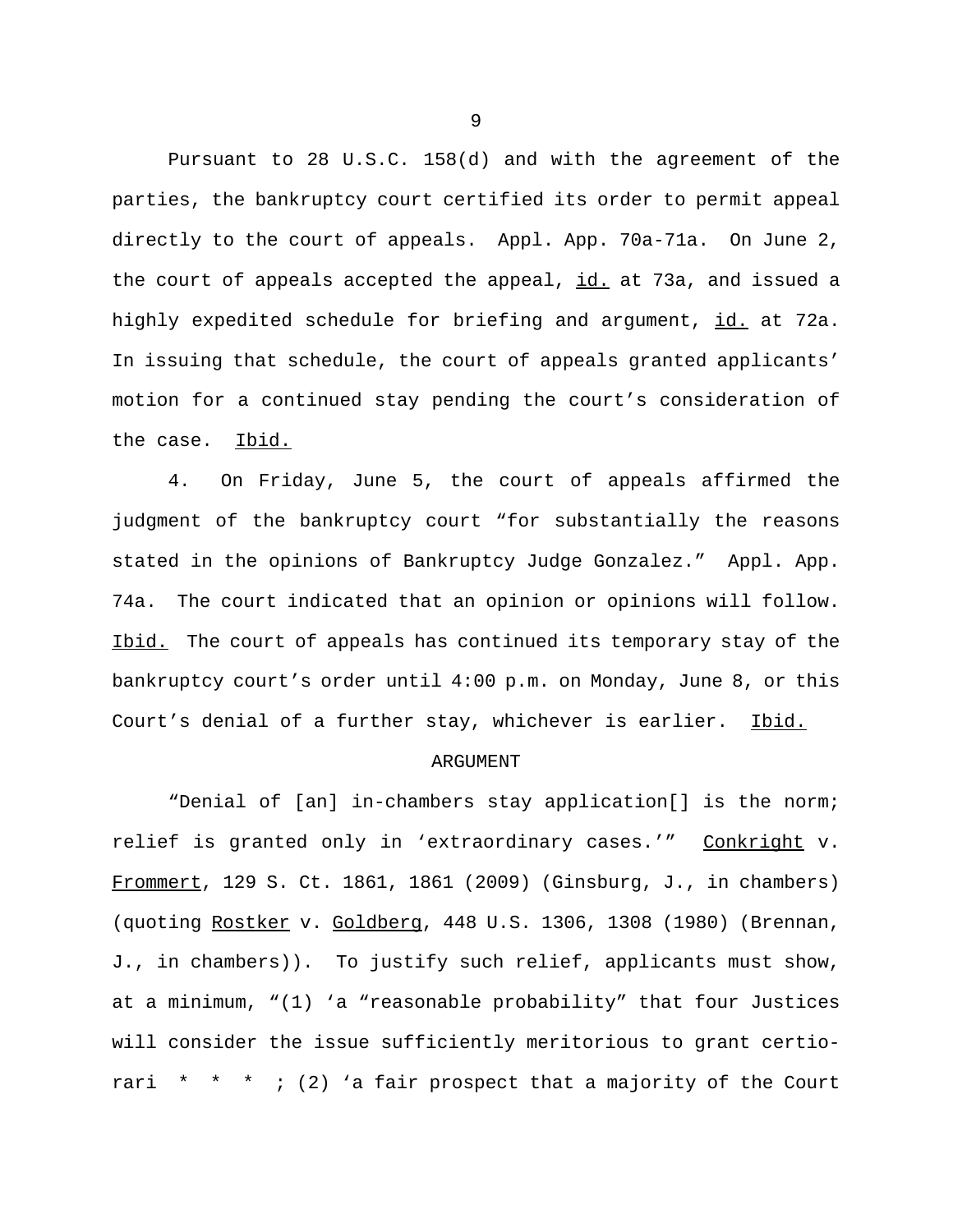Pursuant to 28 U.S.C. 158(d) and with the agreement of the parties, the bankruptcy court certified its order to permit appeal directly to the court of appeals. Appl. App. 70a-71a. On June 2, the court of appeals accepted the appeal, id. at 73a, and issued a highly expedited schedule for briefing and argument, id. at 72a. In issuing that schedule, the court of appeals granted applicants' motion for a continued stay pending the court's consideration of the case. Ibid.

4. On Friday, June 5, the court of appeals affirmed the judgment of the bankruptcy court "for substantially the reasons stated in the opinions of Bankruptcy Judge Gonzalez." Appl. App. 74a. The court indicated that an opinion or opinions will follow. Ibid. The court of appeals has continued its temporary stay of the bankruptcy court's order until 4:00 p.m. on Monday, June 8, or this Court's denial of a further stay, whichever is earlier. Ibid.

### ARGUMENT

"Denial of [an] in-chambers stay application[] is the norm; relief is granted only in 'extraordinary cases.'" Conkright v. Frommert, 129 S. Ct. 1861, 1861 (2009) (Ginsburg, J., in chambers) (quoting Rostker v. Goldberg, 448 U.S. 1306, 1308 (1980) (Brennan, J., in chambers)). To justify such relief, applicants must show, at a minimum, "(1) 'a "reasonable probability" that four Justices will consider the issue sufficiently meritorious to grant certiorari  $* * *$ ; (2) a fair prospect that a majority of the Court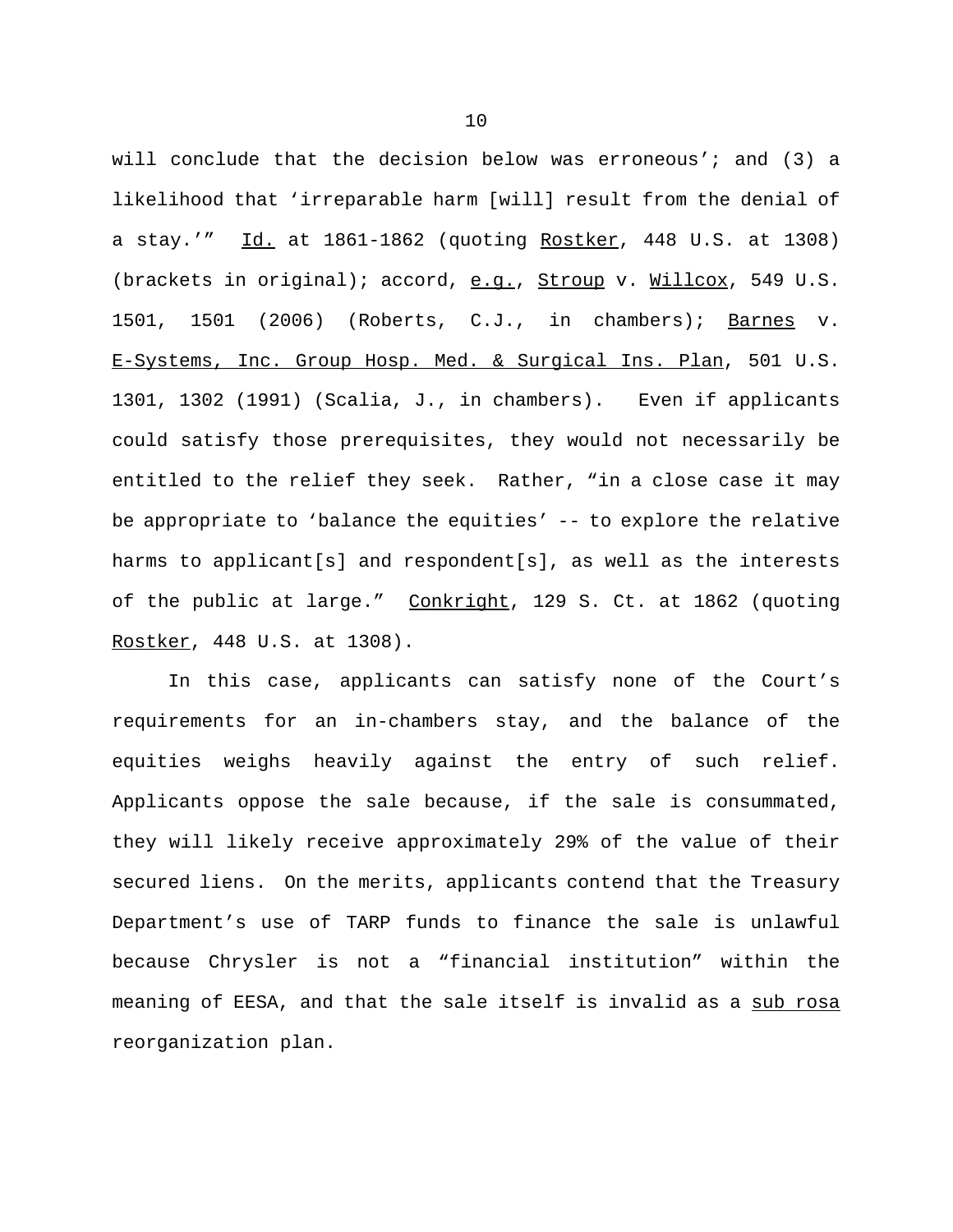will conclude that the decision below was erroneous'; and (3) a likelihood that 'irreparable harm [will] result from the denial of a stay.'" Id. at 1861-1862 (quoting Rostker, 448 U.S. at 1308) (brackets in original); accord, e.g., Stroup v. Willcox, 549 U.S. 1501, 1501 (2006) (Roberts, C.J., in chambers); Barnes v. E-Systems, Inc. Group Hosp. Med. & Surgical Ins. Plan, 501 U.S. 1301, 1302 (1991) (Scalia, J., in chambers). Even if applicants could satisfy those prerequisites, they would not necessarily be entitled to the relief they seek. Rather, "in a close case it may be appropriate to 'balance the equities' -- to explore the relative harms to applicant[s] and respondent[s], as well as the interests of the public at large." Conkright, 129 S. Ct. at 1862 (quoting Rostker, 448 U.S. at 1308).

In this case, applicants can satisfy none of the Court's requirements for an in-chambers stay, and the balance of the equities weighs heavily against the entry of such relief. Applicants oppose the sale because, if the sale is consummated, they will likely receive approximately 29% of the value of their secured liens. On the merits, applicants contend that the Treasury Department's use of TARP funds to finance the sale is unlawful because Chrysler is not a "financial institution" within the meaning of EESA, and that the sale itself is invalid as a sub rosa reorganization plan.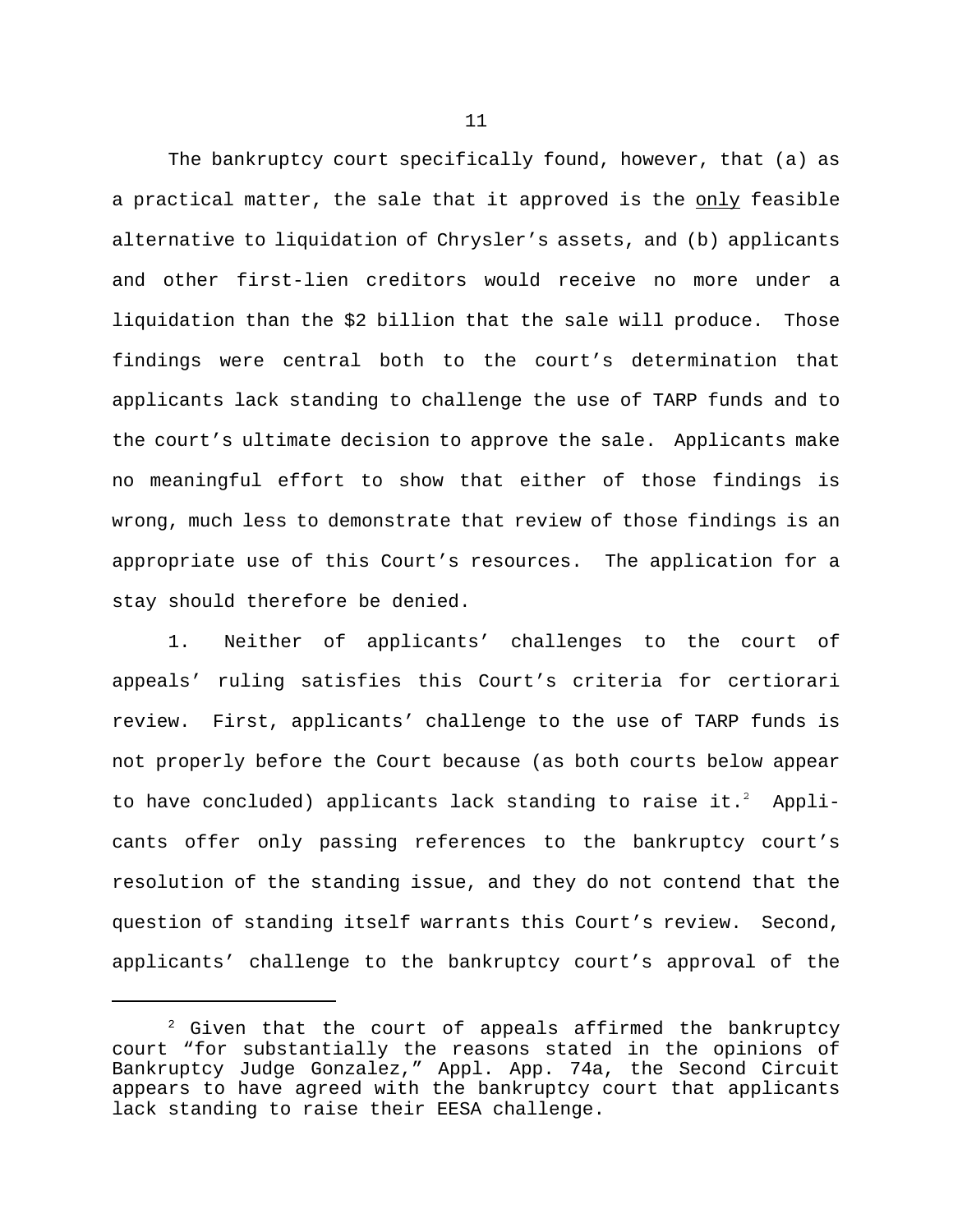The bankruptcy court specifically found, however, that (a) as a practical matter, the sale that it approved is the only feasible alternative to liquidation of Chrysler's assets, and (b) applicants and other first-lien creditors would receive no more under a liquidation than the \$2 billion that the sale will produce. Those findings were central both to the court's determination that applicants lack standing to challenge the use of TARP funds and to the court's ultimate decision to approve the sale. Applicants make no meaningful effort to show that either of those findings is wrong, much less to demonstrate that review of those findings is an appropriate use of this Court's resources. The application for a stay should therefore be denied.

1. Neither of applicants' challenges to the court of appeals' ruling satisfies this Court's criteria for certiorari review. First, applicants' challenge to the use of TARP funds is not properly before the Court because (as both courts below appear to have concluded) applicants lack standing to raise it.<sup>2</sup> Applicants offer only passing references to the bankruptcy court's resolution of the standing issue, and they do not contend that the question of standing itself warrants this Court's review. Second, applicants' challenge to the bankruptcy court's approval of the

 $2$  Given that the court of appeals affirmed the bankruptcy court "for substantially the reasons stated in the opinions of Bankruptcy Judge Gonzalez," Appl. App. 74a, the Second Circuit appears to have agreed with the bankruptcy court that applicants lack standing to raise their EESA challenge.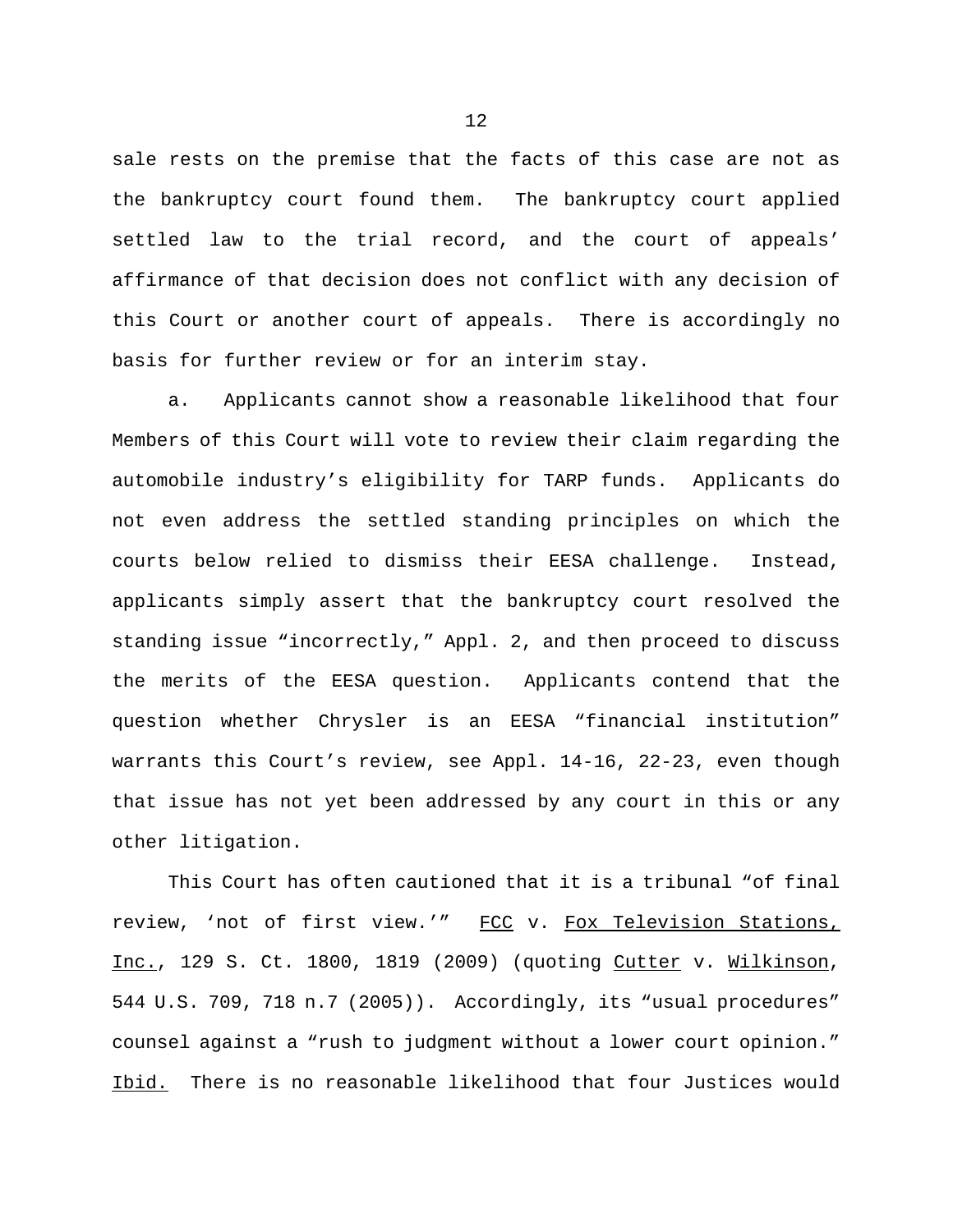sale rests on the premise that the facts of this case are not as the bankruptcy court found them. The bankruptcy court applied settled law to the trial record, and the court of appeals' affirmance of that decision does not conflict with any decision of this Court or another court of appeals. There is accordingly no basis for further review or for an interim stay.

a. Applicants cannot show a reasonable likelihood that four Members of this Court will vote to review their claim regarding the automobile industry's eligibility for TARP funds. Applicants do not even address the settled standing principles on which the courts below relied to dismiss their EESA challenge. Instead, applicants simply assert that the bankruptcy court resolved the standing issue "incorrectly," Appl. 2, and then proceed to discuss the merits of the EESA question. Applicants contend that the question whether Chrysler is an EESA "financial institution" warrants this Court's review, see Appl. 14-16, 22-23, even though that issue has not yet been addressed by any court in this or any other litigation.

This Court has often cautioned that it is a tribunal "of final review, 'not of first view.'" FCC v. Fox Television Stations, Inc., 129 S. Ct. 1800, 1819 (2009) (quoting Cutter v. Wilkinson, 544 U.S. 709, 718 n.7 (2005)). Accordingly, its "usual procedures" counsel against a "rush to judgment without a lower court opinion." Ibid. There is no reasonable likelihood that four Justices would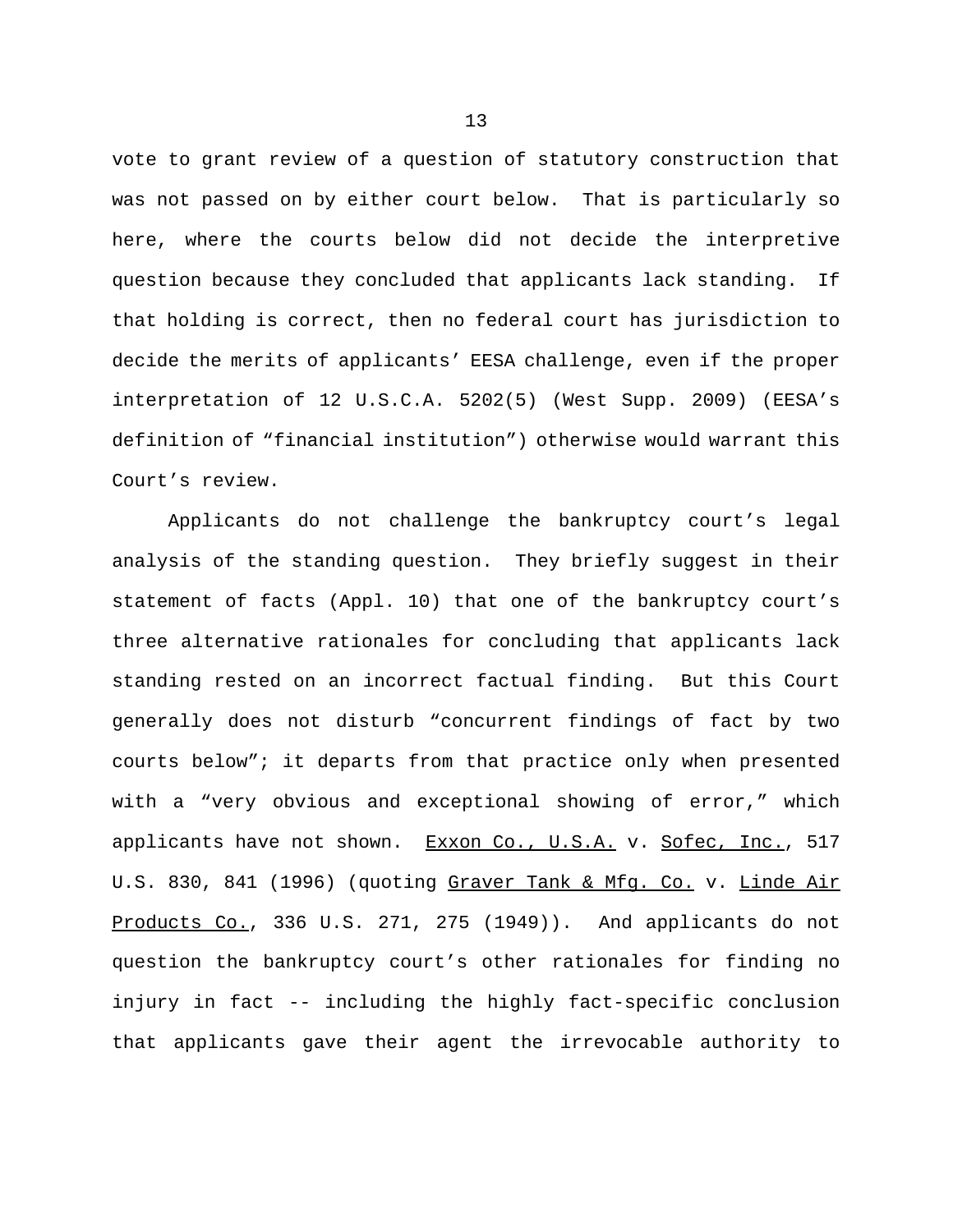vote to grant review of a question of statutory construction that was not passed on by either court below. That is particularly so here, where the courts below did not decide the interpretive question because they concluded that applicants lack standing. If that holding is correct, then no federal court has jurisdiction to decide the merits of applicants' EESA challenge, even if the proper interpretation of 12 U.S.C.A. 5202(5) (West Supp. 2009) (EESA's definition of "financial institution") otherwise would warrant this Court's review.

Applicants do not challenge the bankruptcy court's legal analysis of the standing question. They briefly suggest in their statement of facts (Appl. 10) that one of the bankruptcy court's three alternative rationales for concluding that applicants lack standing rested on an incorrect factual finding. But this Court generally does not disturb "concurrent findings of fact by two courts below"; it departs from that practice only when presented with a "very obvious and exceptional showing of error," which applicants have not shown. Exxon Co., U.S.A. v. Sofec, Inc., 517 U.S. 830, 841 (1996) (quoting Graver Tank & Mfg. Co. v. Linde Air Products Co., 336 U.S. 271, 275 (1949)). And applicants do not question the bankruptcy court's other rationales for finding no injury in fact -- including the highly fact-specific conclusion that applicants gave their agent the irrevocable authority to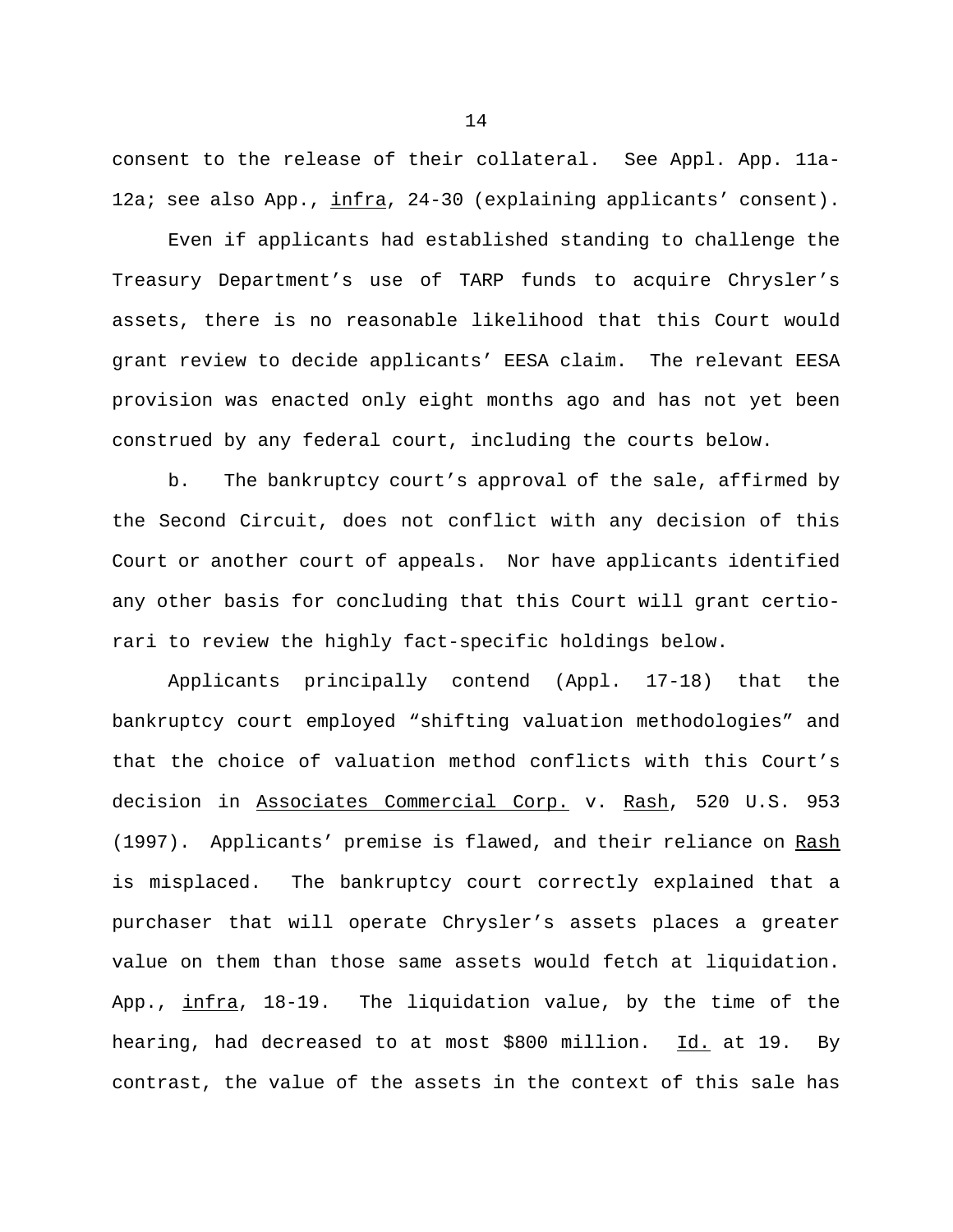consent to the release of their collateral. See Appl. App. 11a-12a; see also App., infra, 24-30 (explaining applicants' consent).

Even if applicants had established standing to challenge the Treasury Department's use of TARP funds to acquire Chrysler's assets, there is no reasonable likelihood that this Court would grant review to decide applicants' EESA claim. The relevant EESA provision was enacted only eight months ago and has not yet been construed by any federal court, including the courts below.

b. The bankruptcy court's approval of the sale, affirmed by the Second Circuit, does not conflict with any decision of this Court or another court of appeals. Nor have applicants identified any other basis for concluding that this Court will grant certiorari to review the highly fact-specific holdings below.

Applicants principally contend (Appl. 17-18) that the bankruptcy court employed "shifting valuation methodologies" and that the choice of valuation method conflicts with this Court's decision in Associates Commercial Corp. v. Rash, 520 U.S. 953 (1997). Applicants' premise is flawed, and their reliance on Rash is misplaced. The bankruptcy court correctly explained that a purchaser that will operate Chrysler's assets places a greater value on them than those same assets would fetch at liquidation. App., infra, 18-19. The liquidation value, by the time of the hearing, had decreased to at most \$800 million. Id. at 19. By contrast, the value of the assets in the context of this sale has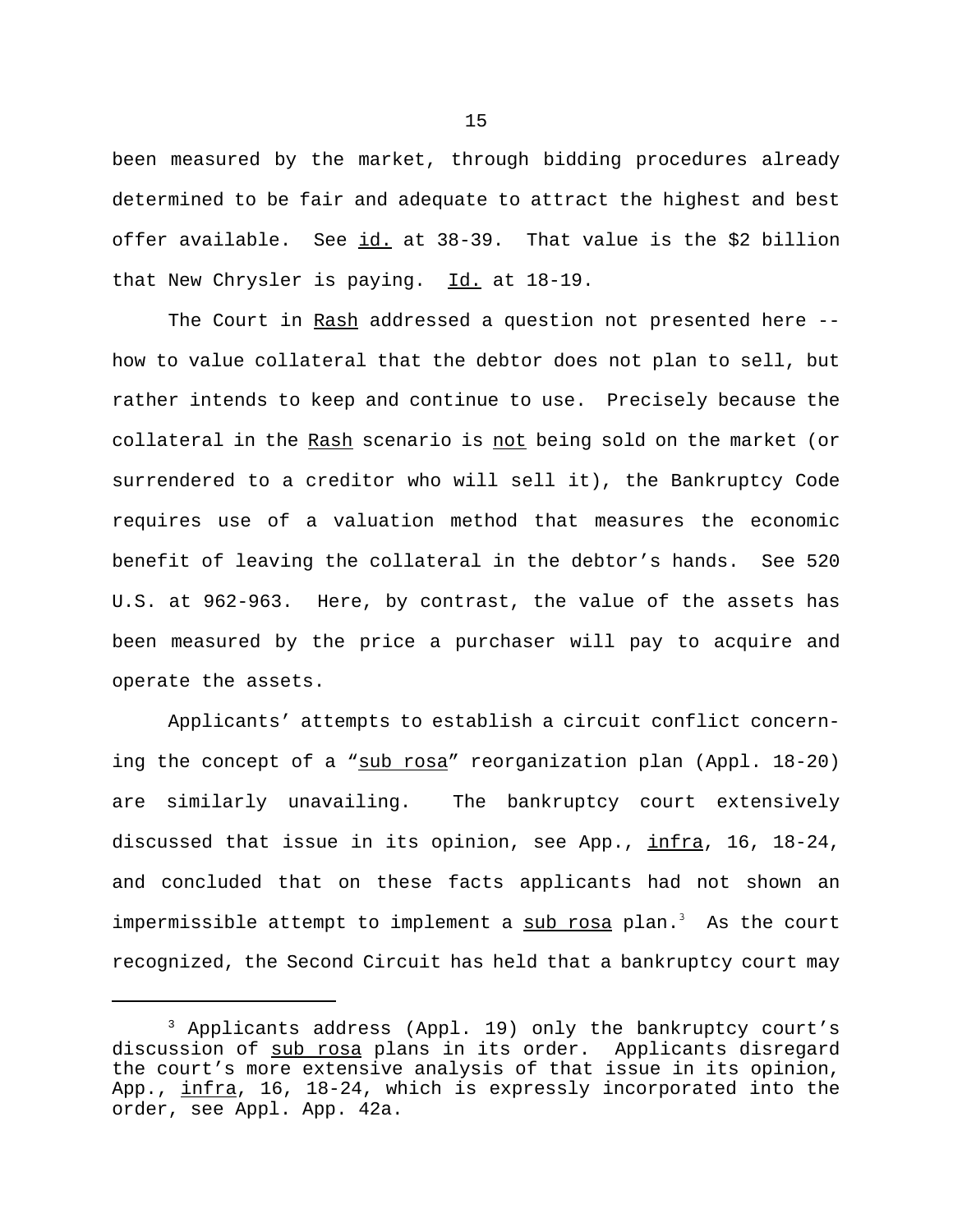been measured by the market, through bidding procedures already determined to be fair and adequate to attract the highest and best offer available. See id. at 38-39. That value is the \$2 billion that New Chrysler is paying.  $Id.$  at 18-19.

The Court in Rash addressed a question not presented here -how to value collateral that the debtor does not plan to sell, but rather intends to keep and continue to use. Precisely because the collateral in the Rash scenario is not being sold on the market (or surrendered to a creditor who will sell it), the Bankruptcy Code requires use of a valuation method that measures the economic benefit of leaving the collateral in the debtor's hands. See 520 U.S. at 962-963. Here, by contrast, the value of the assets has been measured by the price a purchaser will pay to acquire and operate the assets.

Applicants' attempts to establish a circuit conflict concerning the concept of a "sub rosa" reorganization plan (Appl. 18-20) are similarly unavailing. The bankruptcy court extensively discussed that issue in its opinion, see App., infra, 16, 18-24, and concluded that on these facts applicants had not shown an impermissible attempt to implement a sub rosa plan.<sup>3</sup> As the court recognized, the Second Circuit has held that a bankruptcy court may

<sup>&</sup>lt;sup>3</sup> Applicants address (Appl. 19) only the bankruptcy court's discussion of sub rosa plans in its order. Applicants disregard the court's more extensive analysis of that issue in its opinion, App., infra, 16, 18-24, which is expressly incorporated into the order, see Appl. App. 42a.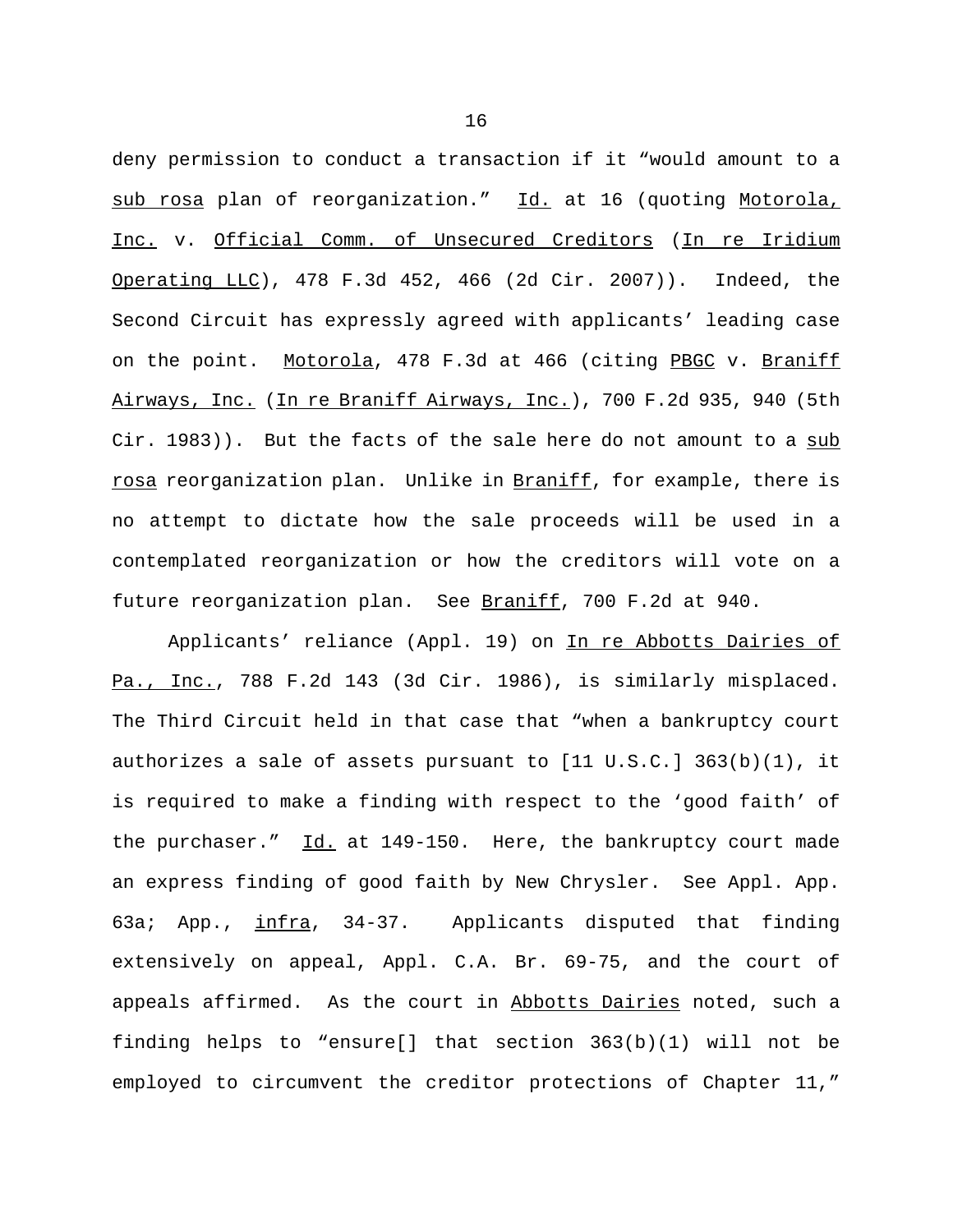deny permission to conduct a transaction if it "would amount to a sub rosa plan of reorganization." Id. at 16 (quoting Motorola, Inc. v. Official Comm. of Unsecured Creditors (In re Iridium Operating LLC), 478 F.3d 452, 466 (2d Cir. 2007)). Indeed, the Second Circuit has expressly agreed with applicants' leading case on the point. Motorola, 478 F.3d at 466 (citing PBGC v. Braniff Airways, Inc. (In re Braniff Airways, Inc.), 700 F.2d 935, 940 (5th Cir. 1983)). But the facts of the sale here do not amount to a sub rosa reorganization plan. Unlike in Braniff, for example, there is no attempt to dictate how the sale proceeds will be used in a contemplated reorganization or how the creditors will vote on a future reorganization plan. See Braniff, 700 F.2d at 940.

Applicants' reliance (Appl. 19) on In re Abbotts Dairies of Pa., Inc., 788 F.2d 143 (3d Cir. 1986), is similarly misplaced. The Third Circuit held in that case that "when a bankruptcy court authorizes a sale of assets pursuant to [11 U.S.C.] 363(b)(1), it is required to make a finding with respect to the 'good faith' of the purchaser." Id. at 149-150. Here, the bankruptcy court made an express finding of good faith by New Chrysler. See Appl. App. 63a; App., infra, 34-37. Applicants disputed that finding extensively on appeal, Appl. C.A. Br. 69-75, and the court of appeals affirmed. As the court in Abbotts Dairies noted, such a finding helps to "ensure[] that section 363(b)(1) will not be employed to circumvent the creditor protections of Chapter 11,"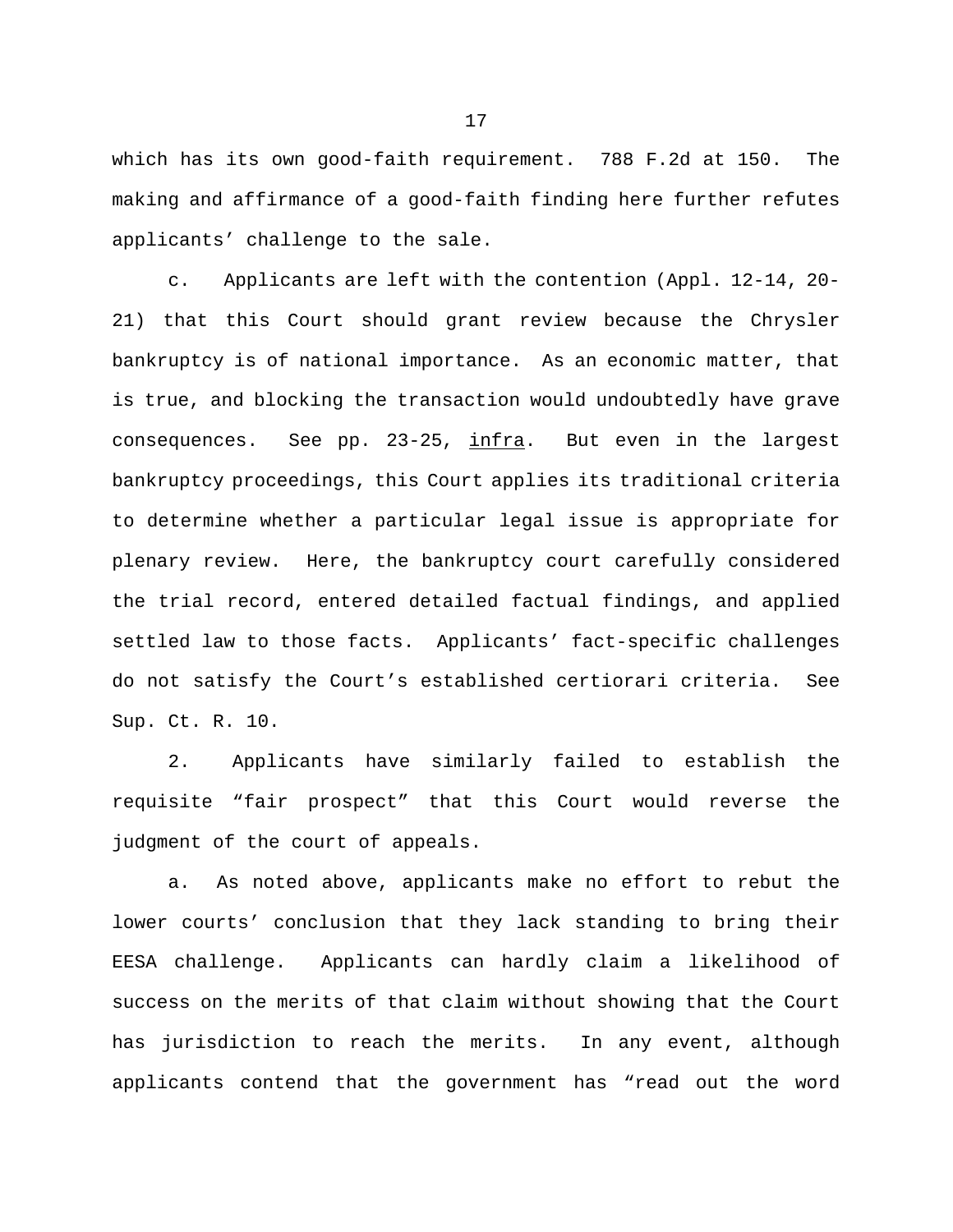which has its own good-faith requirement. 788 F.2d at 150. The making and affirmance of a good-faith finding here further refutes applicants' challenge to the sale.

c. Applicants are left with the contention (Appl. 12-14, 20- 21) that this Court should grant review because the Chrysler bankruptcy is of national importance. As an economic matter, that is true, and blocking the transaction would undoubtedly have grave consequences. See pp. 23-25, infra. But even in the largest bankruptcy proceedings, this Court applies its traditional criteria to determine whether a particular legal issue is appropriate for plenary review. Here, the bankruptcy court carefully considered the trial record, entered detailed factual findings, and applied settled law to those facts. Applicants' fact-specific challenges do not satisfy the Court's established certiorari criteria. See Sup. Ct. R. 10.

2. Applicants have similarly failed to establish the requisite "fair prospect" that this Court would reverse the judgment of the court of appeals.

a. As noted above, applicants make no effort to rebut the lower courts' conclusion that they lack standing to bring their EESA challenge. Applicants can hardly claim a likelihood of success on the merits of that claim without showing that the Court has jurisdiction to reach the merits. In any event, although applicants contend that the government has "read out the word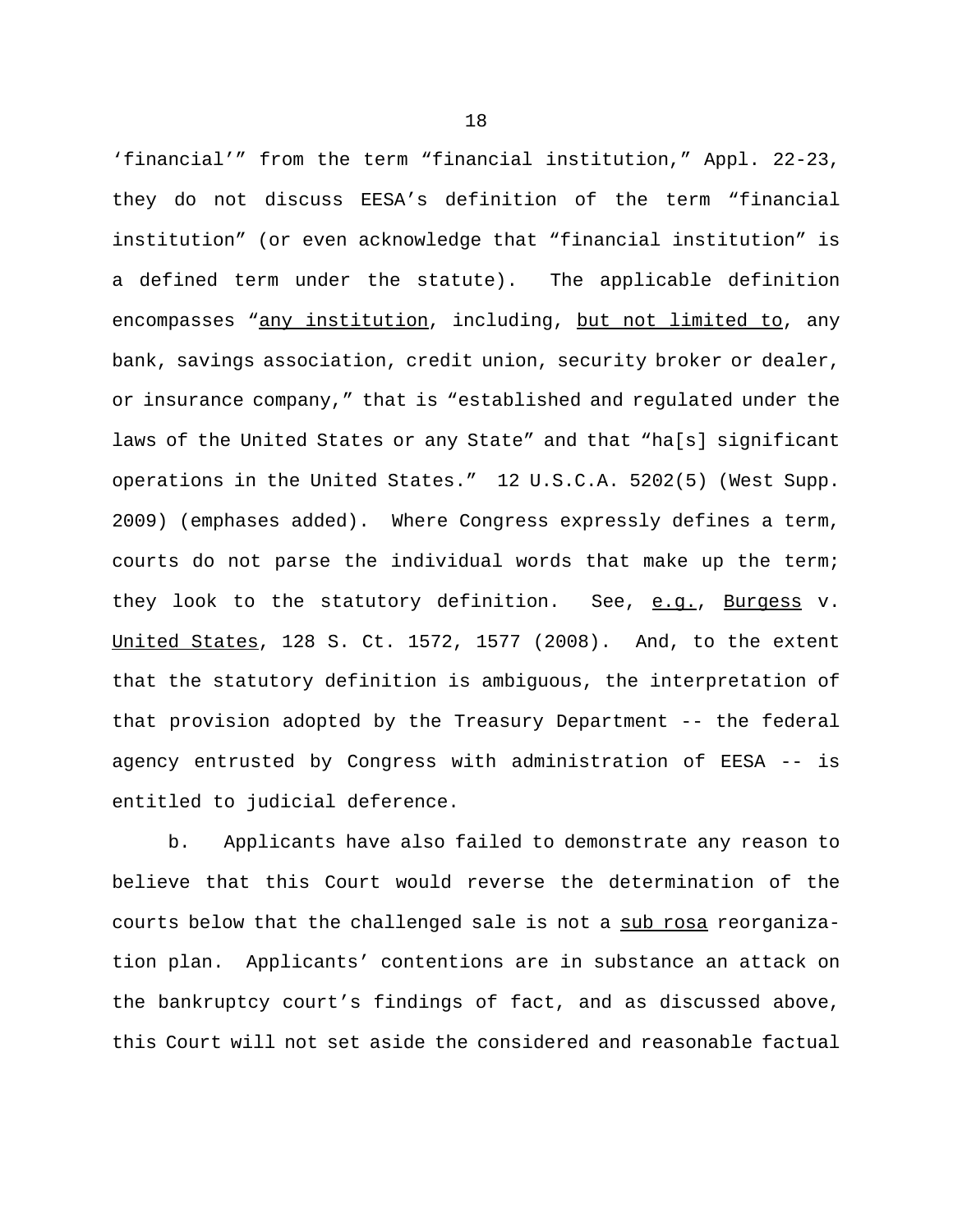'financial'" from the term "financial institution," Appl. 22-23, they do not discuss EESA's definition of the term "financial institution" (or even acknowledge that "financial institution" is a defined term under the statute). The applicable definition encompasses "any institution, including, but not limited to, any bank, savings association, credit union, security broker or dealer, or insurance company," that is "established and regulated under the laws of the United States or any State" and that "ha[s] significant operations in the United States." 12 U.S.C.A. 5202(5) (West Supp. 2009) (emphases added). Where Congress expressly defines a term, courts do not parse the individual words that make up the term; they look to the statutory definition. See, e.g., Burgess v. United States, 128 S. Ct. 1572, 1577 (2008). And, to the extent that the statutory definition is ambiguous, the interpretation of that provision adopted by the Treasury Department -- the federal agency entrusted by Congress with administration of EESA -- is entitled to judicial deference.

b. Applicants have also failed to demonstrate any reason to believe that this Court would reverse the determination of the courts below that the challenged sale is not a sub rosa reorganization plan. Applicants' contentions are in substance an attack on the bankruptcy court's findings of fact, and as discussed above, this Court will not set aside the considered and reasonable factual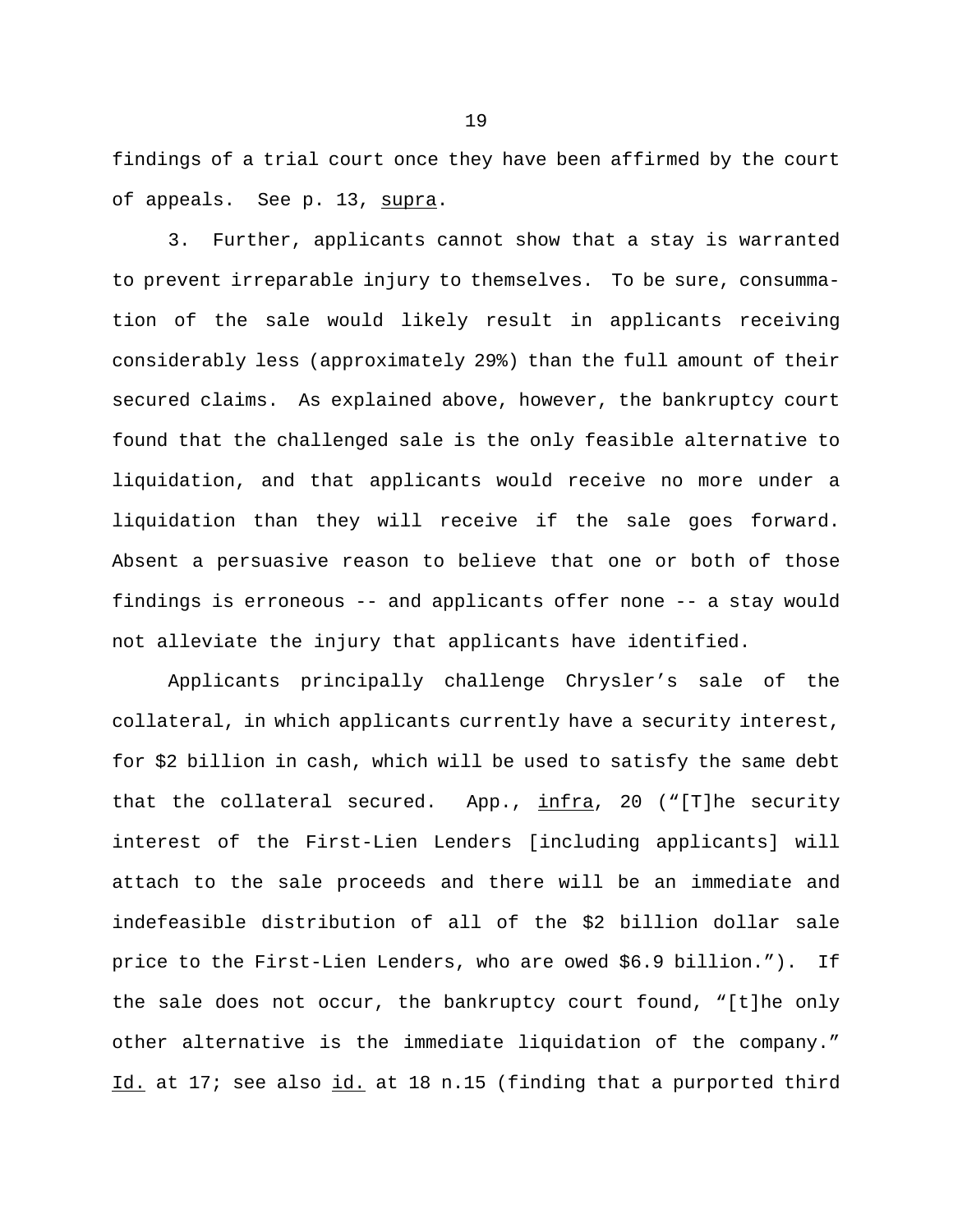findings of a trial court once they have been affirmed by the court of appeals. See p. 13, supra.

3. Further, applicants cannot show that a stay is warranted to prevent irreparable injury to themselves. To be sure, consummation of the sale would likely result in applicants receiving considerably less (approximately 29%) than the full amount of their secured claims. As explained above, however, the bankruptcy court found that the challenged sale is the only feasible alternative to liquidation, and that applicants would receive no more under a liquidation than they will receive if the sale goes forward. Absent a persuasive reason to believe that one or both of those findings is erroneous -- and applicants offer none -- a stay would not alleviate the injury that applicants have identified.

Applicants principally challenge Chrysler's sale of the collateral, in which applicants currently have a security interest, for \$2 billion in cash, which will be used to satisfy the same debt that the collateral secured. App.,  $infra$ , 20 ("[T]he security interest of the First-Lien Lenders [including applicants] will attach to the sale proceeds and there will be an immediate and indefeasible distribution of all of the \$2 billion dollar sale price to the First-Lien Lenders, who are owed \$6.9 billion."). If the sale does not occur, the bankruptcy court found, "[t]he only other alternative is the immediate liquidation of the company." Id. at 17; see also id. at 18 n.15 (finding that a purported third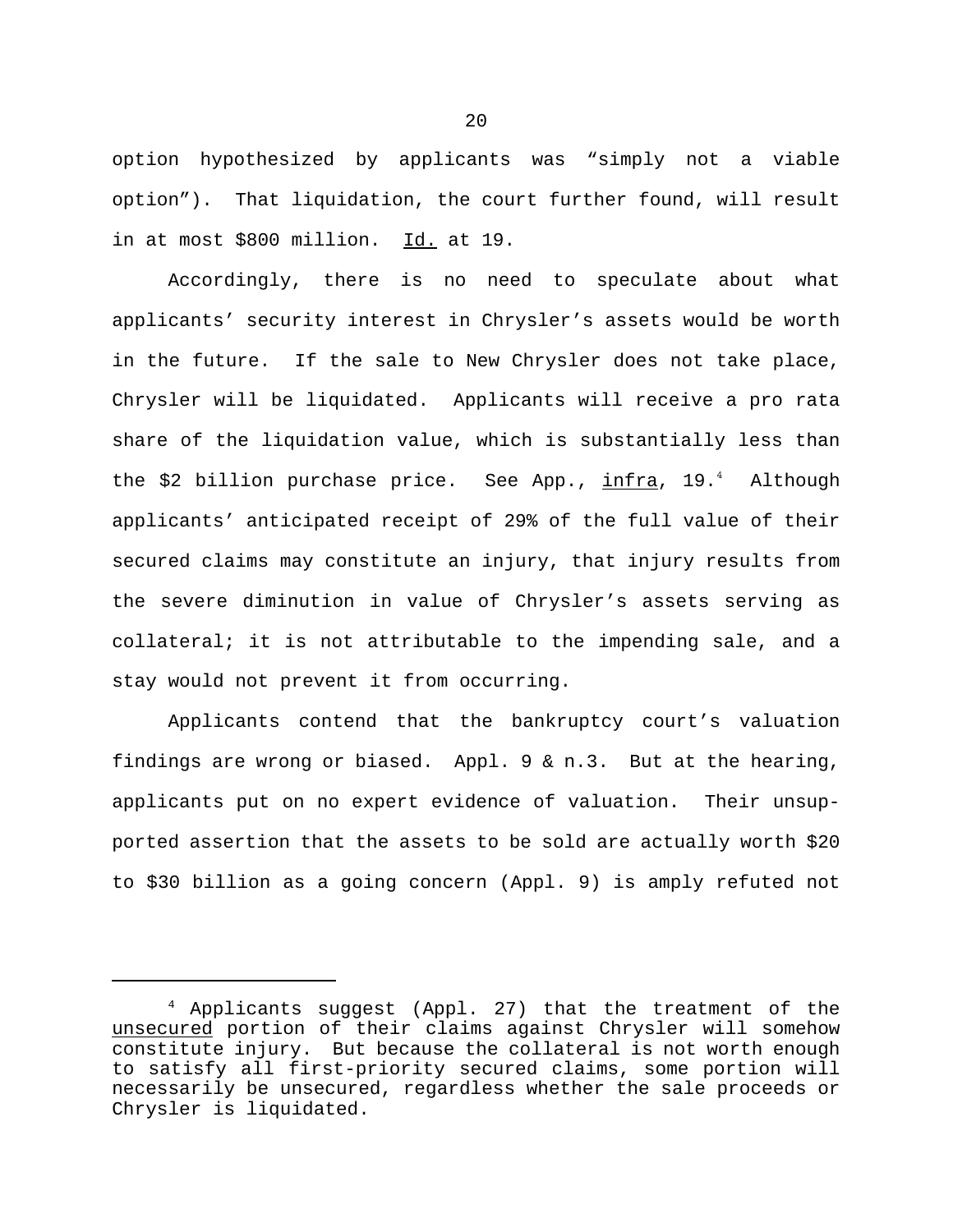option hypothesized by applicants was "simply not a viable option"). That liquidation, the court further found, will result in at most \$800 million. Id. at 19.

Accordingly, there is no need to speculate about what applicants' security interest in Chrysler's assets would be worth in the future. If the sale to New Chrysler does not take place, Chrysler will be liquidated. Applicants will receive a pro rata share of the liquidation value, which is substantially less than the \$2 billion purchase price. See App., <u>infra</u>, 19.<sup>4</sup> Although applicants' anticipated receipt of 29% of the full value of their secured claims may constitute an injury, that injury results from the severe diminution in value of Chrysler's assets serving as collateral; it is not attributable to the impending sale, and a stay would not prevent it from occurring.

Applicants contend that the bankruptcy court's valuation findings are wrong or biased. Appl. 9 & n.3. But at the hearing, applicants put on no expert evidence of valuation. Their unsupported assertion that the assets to be sold are actually worth \$20 to \$30 billion as a going concern (Appl. 9) is amply refuted not

<sup>&</sup>lt;sup>4</sup> Applicants suggest (Appl. 27) that the treatment of the unsecured portion of their claims against Chrysler will somehow constitute injury. But because the collateral is not worth enough to satisfy all first-priority secured claims, some portion will necessarily be unsecured, regardless whether the sale proceeds or Chrysler is liquidated.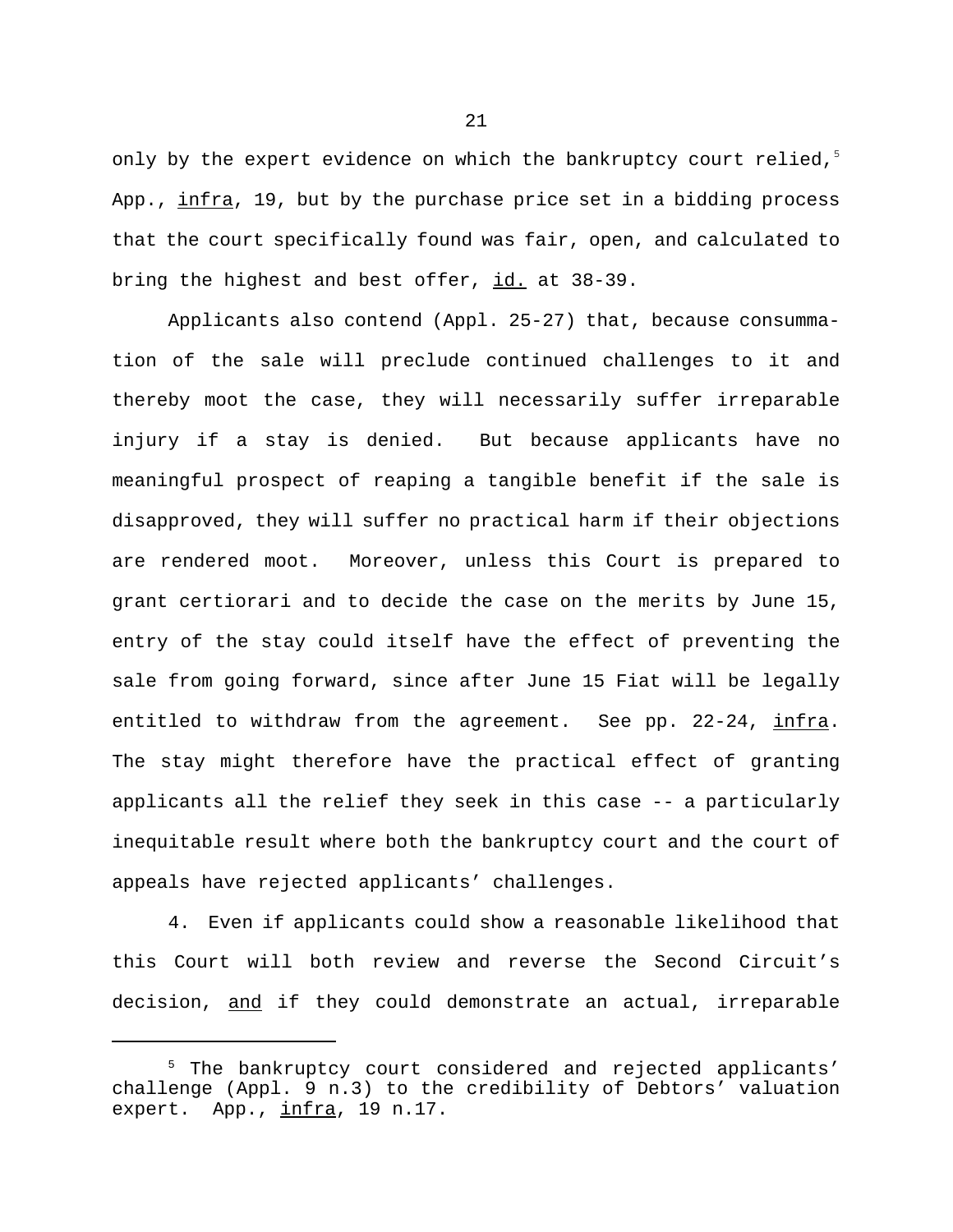only by the expert evidence on which the bankruptcy court relied,<sup>5</sup> App., infra, 19, but by the purchase price set in a bidding process that the court specifically found was fair, open, and calculated to bring the highest and best offer, id. at 38-39.

Applicants also contend (Appl. 25-27) that, because consummation of the sale will preclude continued challenges to it and thereby moot the case, they will necessarily suffer irreparable injury if a stay is denied. But because applicants have no meaningful prospect of reaping a tangible benefit if the sale is disapproved, they will suffer no practical harm if their objections are rendered moot. Moreover, unless this Court is prepared to grant certiorari and to decide the case on the merits by June 15, entry of the stay could itself have the effect of preventing the sale from going forward, since after June 15 Fiat will be legally entitled to withdraw from the agreement. See pp. 22-24, infra. The stay might therefore have the practical effect of granting applicants all the relief they seek in this case -- a particularly inequitable result where both the bankruptcy court and the court of appeals have rejected applicants' challenges.

4. Even if applicants could show a reasonable likelihood that this Court will both review and reverse the Second Circuit's decision, and if they could demonstrate an actual, irreparable

<sup>5</sup> The bankruptcy court considered and rejected applicants' challenge (Appl. 9 n.3) to the credibility of Debtors' valuation expert. App., infra, 19 n.17.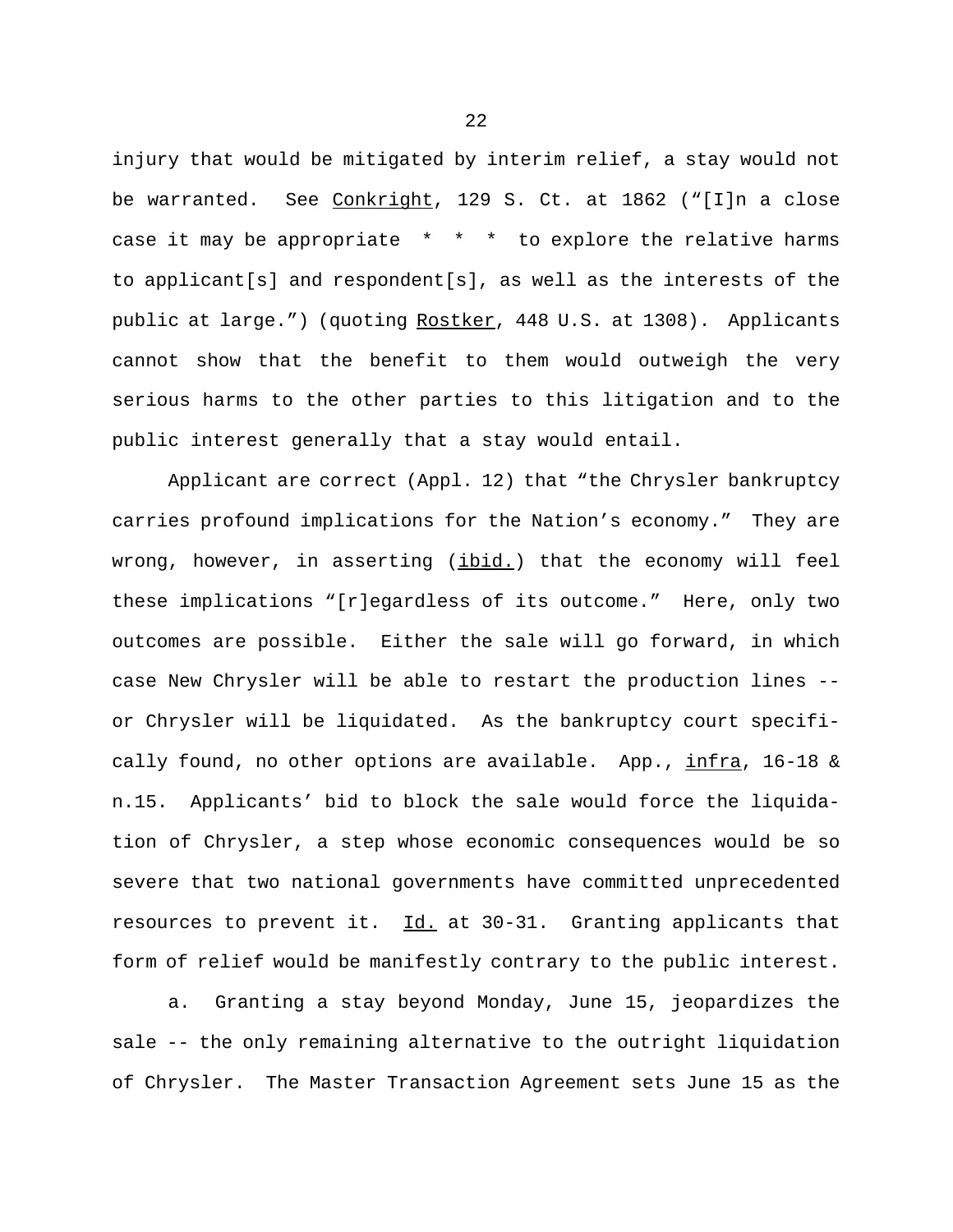injury that would be mitigated by interim relief, a stay would not be warranted. See Conkright, 129 S. Ct. at 1862 ("[I]n a close case it may be appropriate \* \* \* to explore the relative harms to applicant[s] and respondent[s], as well as the interests of the public at large.") (quoting Rostker, 448 U.S. at 1308). Applicants cannot show that the benefit to them would outweigh the very serious harms to the other parties to this litigation and to the public interest generally that a stay would entail.

Applicant are correct (Appl. 12) that "the Chrysler bankruptcy carries profound implications for the Nation's economy." They are wrong, however, in asserting (ibid.) that the economy will feel these implications "[r]egardless of its outcome." Here, only two outcomes are possible. Either the sale will go forward, in which case New Chrysler will be able to restart the production lines - or Chrysler will be liquidated. As the bankruptcy court specifically found, no other options are available. App., infra, 16-18 & n.15. Applicants' bid to block the sale would force the liquidation of Chrysler, a step whose economic consequences would be so severe that two national governments have committed unprecedented resources to prevent it. Id. at 30-31. Granting applicants that form of relief would be manifestly contrary to the public interest.

a. Granting a stay beyond Monday, June 15, jeopardizes the sale -- the only remaining alternative to the outright liquidation of Chrysler. The Master Transaction Agreement sets June 15 as the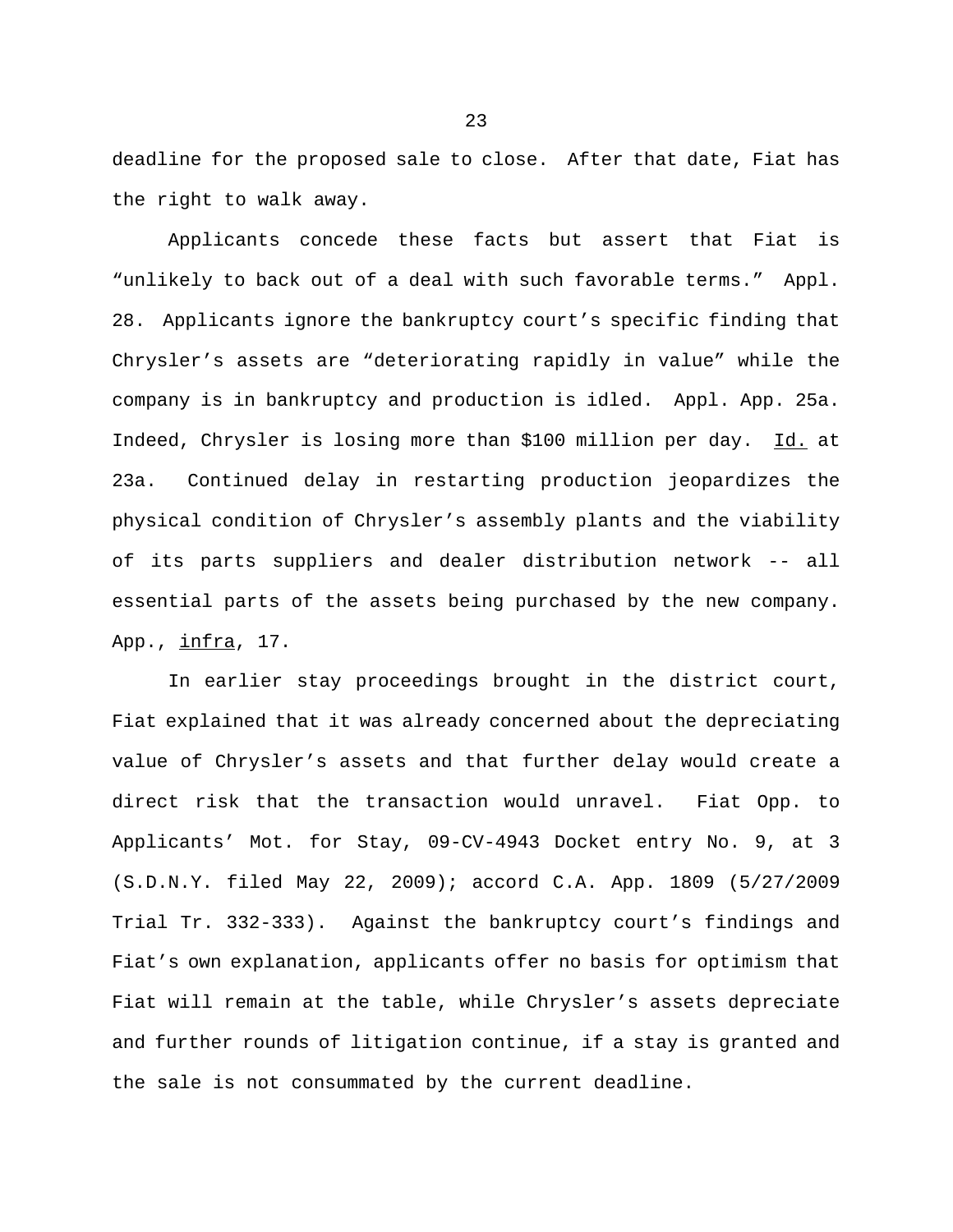deadline for the proposed sale to close. After that date, Fiat has the right to walk away.

Applicants concede these facts but assert that Fiat is "unlikely to back out of a deal with such favorable terms." Appl. 28. Applicants ignore the bankruptcy court's specific finding that Chrysler's assets are "deteriorating rapidly in value" while the company is in bankruptcy and production is idled. Appl. App. 25a. Indeed, Chrysler is losing more than \$100 million per day. Id. at 23a. Continued delay in restarting production jeopardizes the physical condition of Chrysler's assembly plants and the viability of its parts suppliers and dealer distribution network -- all essential parts of the assets being purchased by the new company. App., infra, 17.

In earlier stay proceedings brought in the district court, Fiat explained that it was already concerned about the depreciating value of Chrysler's assets and that further delay would create a direct risk that the transaction would unravel. Fiat Opp. to Applicants' Mot. for Stay, 09-CV-4943 Docket entry No. 9, at 3 (S.D.N.Y. filed May 22, 2009); accord C.A. App. 1809 (5/27/2009 Trial Tr. 332-333). Against the bankruptcy court's findings and Fiat's own explanation, applicants offer no basis for optimism that Fiat will remain at the table, while Chrysler's assets depreciate and further rounds of litigation continue, if a stay is granted and the sale is not consummated by the current deadline.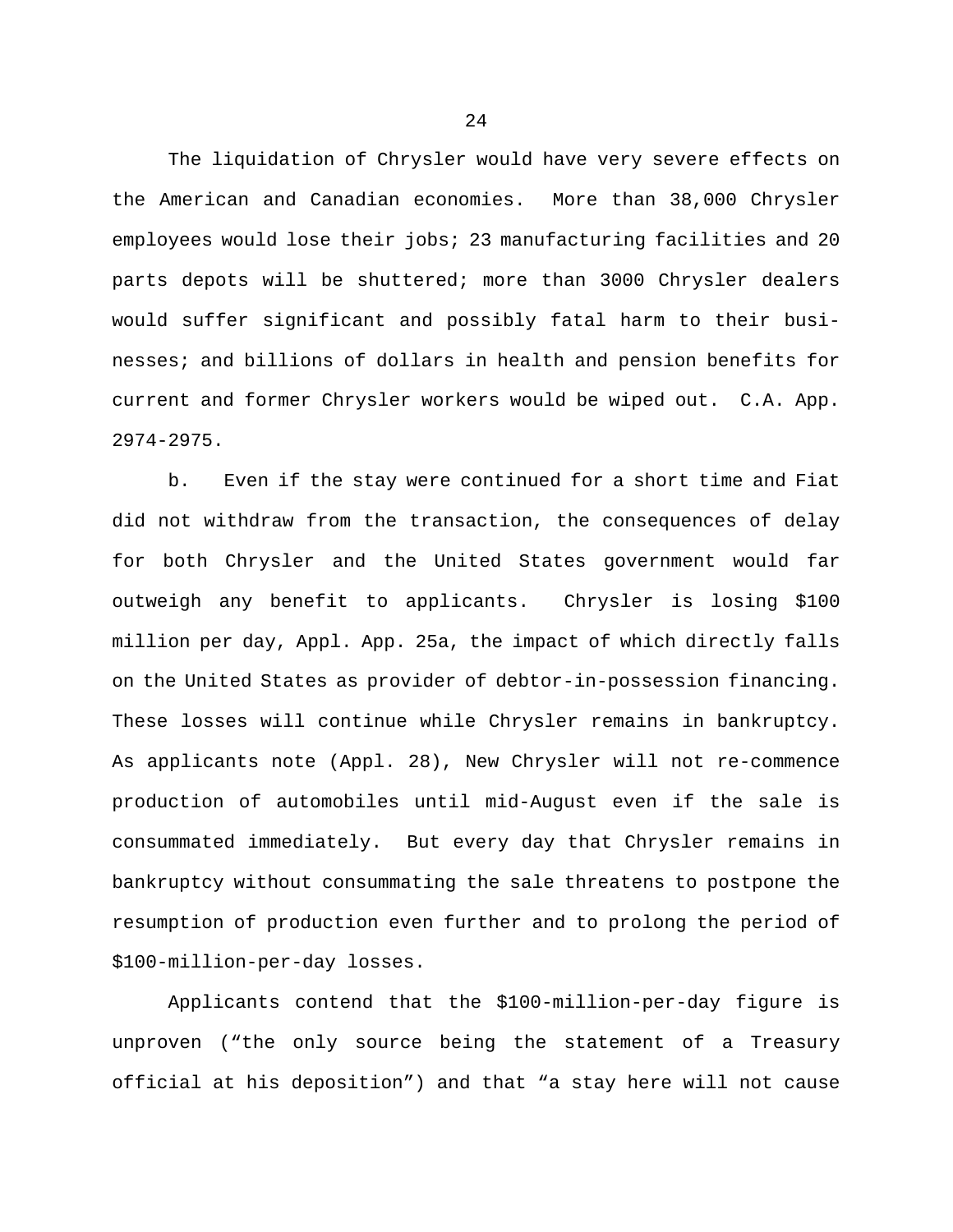The liquidation of Chrysler would have very severe effects on the American and Canadian economies. More than 38,000 Chrysler employees would lose their jobs; 23 manufacturing facilities and 20 parts depots will be shuttered; more than 3000 Chrysler dealers would suffer significant and possibly fatal harm to their businesses; and billions of dollars in health and pension benefits for current and former Chrysler workers would be wiped out. C.A. App. 2974-2975.

b. Even if the stay were continued for a short time and Fiat did not withdraw from the transaction, the consequences of delay for both Chrysler and the United States government would far outweigh any benefit to applicants. Chrysler is losing \$100 million per day, Appl. App. 25a, the impact of which directly falls on the United States as provider of debtor-in-possession financing. These losses will continue while Chrysler remains in bankruptcy. As applicants note (Appl. 28), New Chrysler will not re-commence production of automobiles until mid-August even if the sale is consummated immediately. But every day that Chrysler remains in bankruptcy without consummating the sale threatens to postpone the resumption of production even further and to prolong the period of \$100-million-per-day losses.

Applicants contend that the \$100-million-per-day figure is unproven ("the only source being the statement of a Treasury official at his deposition") and that "a stay here will not cause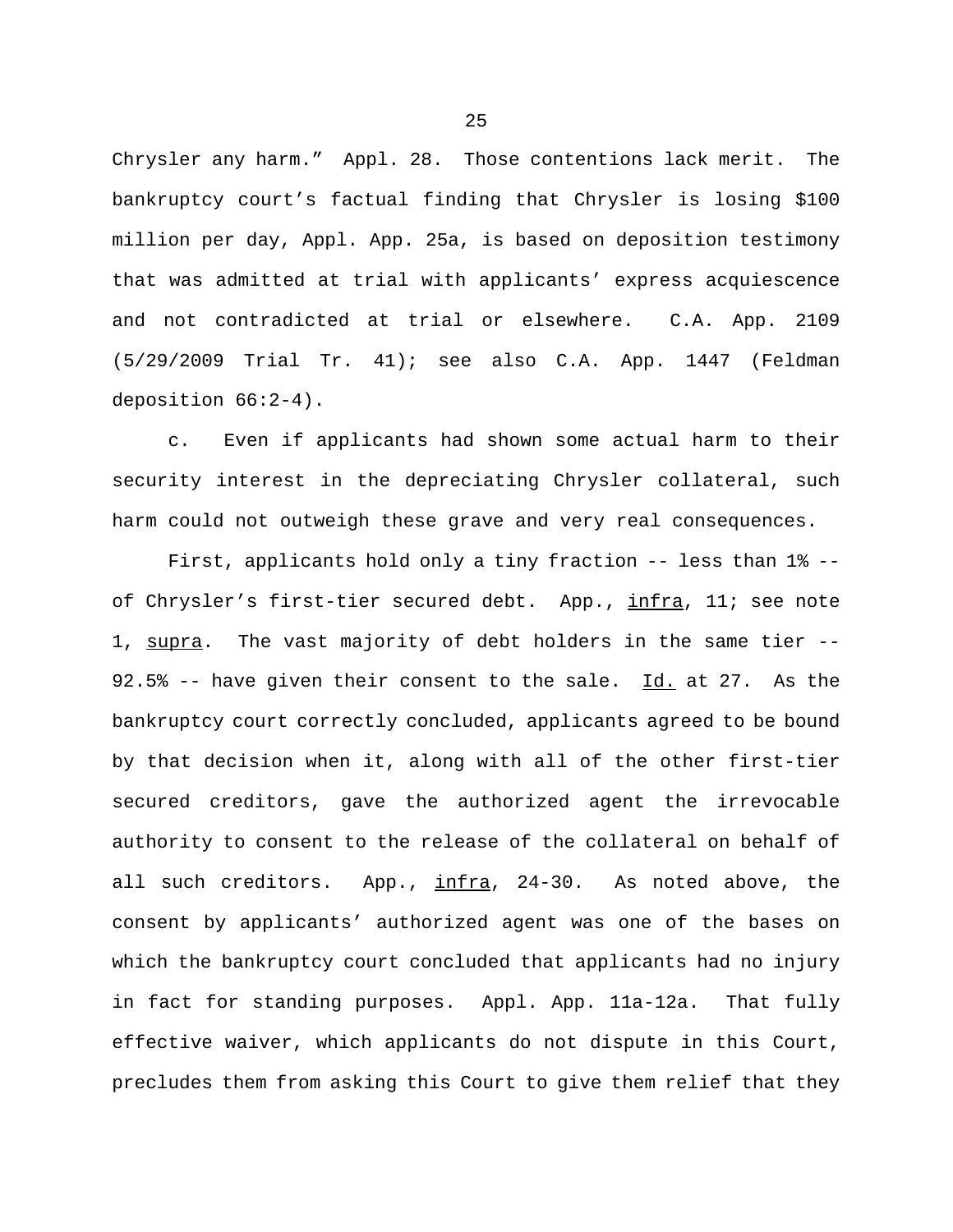Chrysler any harm." Appl. 28. Those contentions lack merit. The bankruptcy court's factual finding that Chrysler is losing \$100 million per day, Appl. App. 25a, is based on deposition testimony that was admitted at trial with applicants' express acquiescence and not contradicted at trial or elsewhere. C.A. App. 2109 (5/29/2009 Trial Tr. 41); see also C.A. App. 1447 (Feldman deposition 66:2-4).

c. Even if applicants had shown some actual harm to their security interest in the depreciating Chrysler collateral, such harm could not outweigh these grave and very real consequences.

First, applicants hold only a tiny fraction -- less than 1% - of Chrysler's first-tier secured debt. App., infra, 11; see note 1, supra. The vast majority of debt holders in the same tier --92.5% -- have given their consent to the sale.  $Id.$  at 27. As the bankruptcy court correctly concluded, applicants agreed to be bound by that decision when it, along with all of the other first-tier secured creditors, gave the authorized agent the irrevocable authority to consent to the release of the collateral on behalf of all such creditors. App., infra, 24-30. As noted above, the consent by applicants' authorized agent was one of the bases on which the bankruptcy court concluded that applicants had no injury in fact for standing purposes. Appl. App. 11a-12a. That fully effective waiver, which applicants do not dispute in this Court, precludes them from asking this Court to give them relief that they